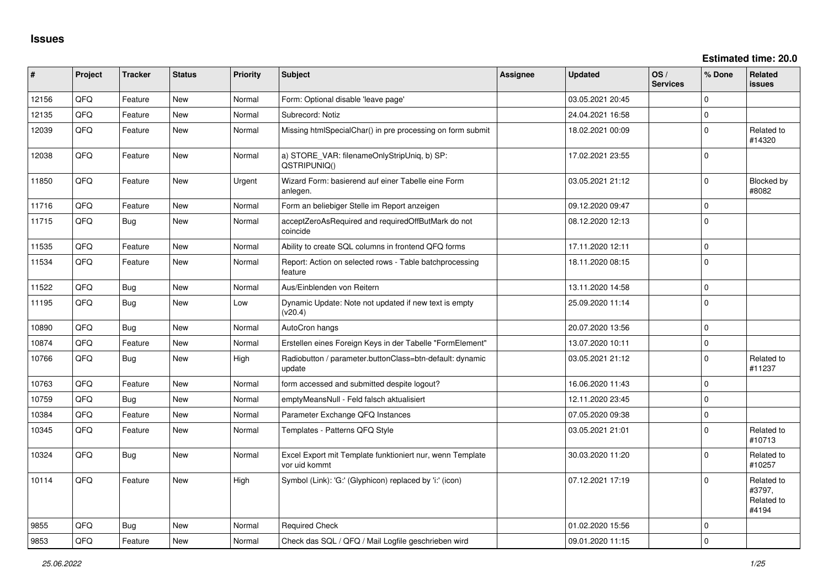**Estimated time: 20.0**

| #     | Project | <b>Tracker</b> | <b>Status</b> | Priority | <b>Subject</b>                                                             | <b>Assignee</b> | <b>Updated</b>   | OS/<br><b>Services</b> | % Done      | Related<br><b>issues</b>                    |
|-------|---------|----------------|---------------|----------|----------------------------------------------------------------------------|-----------------|------------------|------------------------|-------------|---------------------------------------------|
| 12156 | QFQ     | Feature        | <b>New</b>    | Normal   | Form: Optional disable 'leave page'                                        |                 | 03.05.2021 20:45 |                        | $\Omega$    |                                             |
| 12135 | QFQ     | Feature        | <b>New</b>    | Normal   | Subrecord: Notiz                                                           |                 | 24.04.2021 16:58 |                        | $\mathbf 0$ |                                             |
| 12039 | QFQ     | Feature        | <b>New</b>    | Normal   | Missing htmlSpecialChar() in pre processing on form submit                 |                 | 18.02.2021 00:09 |                        | $\Omega$    | Related to<br>#14320                        |
| 12038 | QFQ     | Feature        | <b>New</b>    | Normal   | a) STORE_VAR: filenameOnlyStripUniq, b) SP:<br>QSTRIPUNIQ()                |                 | 17.02.2021 23:55 |                        | $\mathbf 0$ |                                             |
| 11850 | QFQ     | Feature        | <b>New</b>    | Urgent   | Wizard Form: basierend auf einer Tabelle eine Form<br>anlegen.             |                 | 03.05.2021 21:12 |                        | $\Omega$    | Blocked by<br>#8082                         |
| 11716 | QFQ     | Feature        | <b>New</b>    | Normal   | Form an beliebiger Stelle im Report anzeigen                               |                 | 09.12.2020 09:47 |                        | $\mathbf 0$ |                                             |
| 11715 | QFQ     | Bug            | <b>New</b>    | Normal   | acceptZeroAsRequired and requiredOffButMark do not<br>coincide             |                 | 08.12.2020 12:13 |                        | $\Omega$    |                                             |
| 11535 | QFQ     | Feature        | <b>New</b>    | Normal   | Ability to create SQL columns in frontend QFQ forms                        |                 | 17.11.2020 12:11 |                        | $\mathbf 0$ |                                             |
| 11534 | QFQ     | Feature        | New           | Normal   | Report: Action on selected rows - Table batchprocessing<br>feature         |                 | 18.11.2020 08:15 |                        | $\Omega$    |                                             |
| 11522 | QFQ     | <b>Bug</b>     | New           | Normal   | Aus/Einblenden von Reitern                                                 |                 | 13.11.2020 14:58 |                        | $\mathbf 0$ |                                             |
| 11195 | QFQ     | <b>Bug</b>     | <b>New</b>    | Low      | Dynamic Update: Note not updated if new text is empty<br>(v20.4)           |                 | 25.09.2020 11:14 |                        | $\Omega$    |                                             |
| 10890 | QFQ     | <b>Bug</b>     | New           | Normal   | AutoCron hangs                                                             |                 | 20.07.2020 13:56 |                        | $\mathbf 0$ |                                             |
| 10874 | QFQ     | Feature        | <b>New</b>    | Normal   | Erstellen eines Foreign Keys in der Tabelle "FormElement"                  |                 | 13.07.2020 10:11 |                        | $\Omega$    |                                             |
| 10766 | QFQ     | <b>Bug</b>     | <b>New</b>    | High     | Radiobutton / parameter.buttonClass=btn-default: dynamic<br>update         |                 | 03.05.2021 21:12 |                        | $\mathbf 0$ | Related to<br>#11237                        |
| 10763 | QFQ     | Feature        | New           | Normal   | form accessed and submitted despite logout?                                |                 | 16.06.2020 11:43 |                        | $\mathbf 0$ |                                             |
| 10759 | QFQ     | <b>Bug</b>     | <b>New</b>    | Normal   | emptyMeansNull - Feld falsch aktualisiert                                  |                 | 12.11.2020 23:45 |                        | $\mathbf 0$ |                                             |
| 10384 | QFQ     | Feature        | <b>New</b>    | Normal   | Parameter Exchange QFQ Instances                                           |                 | 07.05.2020 09:38 |                        | $\mathbf 0$ |                                             |
| 10345 | QFQ     | Feature        | New           | Normal   | Templates - Patterns QFQ Style                                             |                 | 03.05.2021 21:01 |                        | $\Omega$    | Related to<br>#10713                        |
| 10324 | QFQ     | <b>Bug</b>     | <b>New</b>    | Normal   | Excel Export mit Template funktioniert nur, wenn Template<br>vor uid kommt |                 | 30.03.2020 11:20 |                        | $\mathbf 0$ | Related to<br>#10257                        |
| 10114 | QFQ     | Feature        | <b>New</b>    | High     | Symbol (Link): 'G:' (Glyphicon) replaced by 'i:' (icon)                    |                 | 07.12.2021 17:19 |                        | $\Omega$    | Related to<br>#3797,<br>Related to<br>#4194 |
| 9855  | QFQ     | <b>Bug</b>     | <b>New</b>    | Normal   | <b>Required Check</b>                                                      |                 | 01.02.2020 15:56 |                        | $\Omega$    |                                             |
| 9853  | QFQ     | Feature        | <b>New</b>    | Normal   | Check das SQL / QFQ / Mail Logfile geschrieben wird                        |                 | 09.01.2020 11:15 |                        | $\mathbf 0$ |                                             |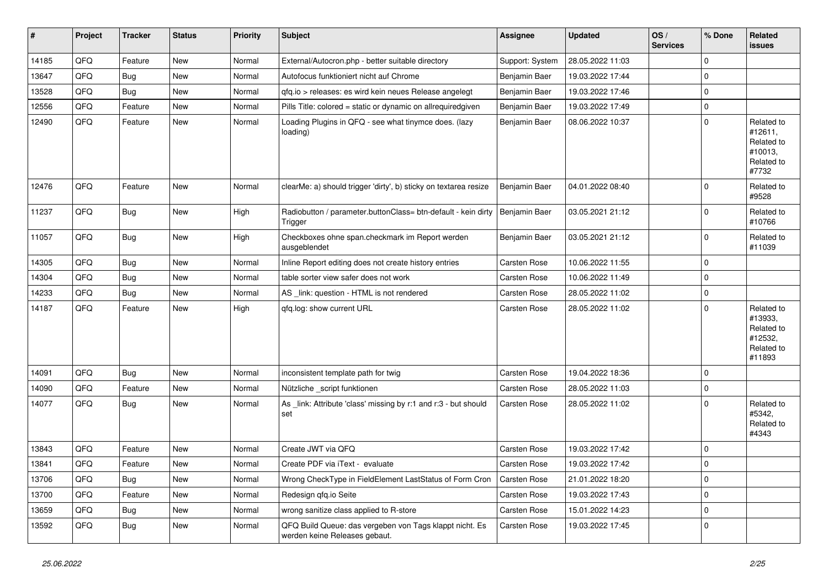| #     | Project | <b>Tracker</b> | <b>Status</b> | Priority | <b>Subject</b>                                                                           | Assignee            | <b>Updated</b>   | OS/<br><b>Services</b> | % Done      | <b>Related</b><br>issues                                               |
|-------|---------|----------------|---------------|----------|------------------------------------------------------------------------------------------|---------------------|------------------|------------------------|-------------|------------------------------------------------------------------------|
| 14185 | QFQ     | Feature        | New           | Normal   | External/Autocron.php - better suitable directory                                        | Support: System     | 28.05.2022 11:03 |                        | $\mathbf 0$ |                                                                        |
| 13647 | QFQ     | Bug            | New           | Normal   | Autofocus funktioniert nicht auf Chrome                                                  | Benjamin Baer       | 19.03.2022 17:44 |                        | $\mathbf 0$ |                                                                        |
| 13528 | QFQ     | Bug            | New           | Normal   | qfq.io > releases: es wird kein neues Release angelegt                                   | Benjamin Baer       | 19.03.2022 17:46 |                        | $\mathbf 0$ |                                                                        |
| 12556 | QFQ     | Feature        | New           | Normal   | Pills Title: colored = static or dynamic on allrequiredgiven                             | Benjamin Baer       | 19.03.2022 17:49 |                        | $\mathbf 0$ |                                                                        |
| 12490 | QFQ     | Feature        | New           | Normal   | Loading Plugins in QFQ - see what tinymce does. (lazy<br>loading)                        | Benjamin Baer       | 08.06.2022 10:37 |                        | $\mathbf 0$ | Related to<br>#12611,<br>Related to<br>#10013,<br>Related to<br>#7732  |
| 12476 | QFQ     | Feature        | New           | Normal   | clearMe: a) should trigger 'dirty', b) sticky on textarea resize                         | Benjamin Baer       | 04.01.2022 08:40 |                        | $\mathbf 0$ | Related to<br>#9528                                                    |
| 11237 | QFQ     | Bug            | New           | High     | Radiobutton / parameter.buttonClass= btn-default - kein dirty<br>Trigger                 | Benjamin Baer       | 03.05.2021 21:12 |                        | $\mathbf 0$ | Related to<br>#10766                                                   |
| 11057 | QFQ     | Bug            | New           | High     | Checkboxes ohne span.checkmark im Report werden<br>ausgeblendet                          | Benjamin Baer       | 03.05.2021 21:12 |                        | $\mathbf 0$ | Related to<br>#11039                                                   |
| 14305 | QFQ     | <b>Bug</b>     | New           | Normal   | Inline Report editing does not create history entries                                    | Carsten Rose        | 10.06.2022 11:55 |                        | $\Omega$    |                                                                        |
| 14304 | QFQ     | <b>Bug</b>     | New           | Normal   | table sorter view safer does not work                                                    | <b>Carsten Rose</b> | 10.06.2022 11:49 |                        | $\mathbf 0$ |                                                                        |
| 14233 | QFQ     | <b>Bug</b>     | New           | Normal   | AS _link: question - HTML is not rendered                                                | Carsten Rose        | 28.05.2022 11:02 |                        | $\mathbf 0$ |                                                                        |
| 14187 | QFQ     | Feature        | New           | High     | gfg.log: show current URL                                                                | <b>Carsten Rose</b> | 28.05.2022 11:02 |                        | $\mathbf 0$ | Related to<br>#13933,<br>Related to<br>#12532,<br>Related to<br>#11893 |
| 14091 | QFQ     | <b>Bug</b>     | New           | Normal   | inconsistent template path for twig                                                      | <b>Carsten Rose</b> | 19.04.2022 18:36 |                        | $\mathbf 0$ |                                                                        |
| 14090 | QFQ     | Feature        | New           | Normal   | Nützliche _script funktionen                                                             | Carsten Rose        | 28.05.2022 11:03 |                        | 0           |                                                                        |
| 14077 | QFQ     | Bug            | New           | Normal   | As _link: Attribute 'class' missing by r:1 and r:3 - but should<br>set                   | <b>Carsten Rose</b> | 28.05.2022 11:02 |                        | $\mathbf 0$ | Related to<br>#5342,<br>Related to<br>#4343                            |
| 13843 | QFQ     | Feature        | New           | Normal   | Create JWT via QFQ                                                                       | <b>Carsten Rose</b> | 19.03.2022 17:42 |                        | 0           |                                                                        |
| 13841 | QFQ     | Feature        | New           | Normal   | Create PDF via iText - evaluate                                                          | <b>Carsten Rose</b> | 19.03.2022 17:42 |                        | $\mathbf 0$ |                                                                        |
| 13706 | QFQ     | <b>Bug</b>     | New           | Normal   | Wrong CheckType in FieldElement LastStatus of Form Cron                                  | Carsten Rose        | 21.01.2022 18:20 |                        | 0           |                                                                        |
| 13700 | QFQ     | Feature        | New           | Normal   | Redesign qfq.io Seite                                                                    | Carsten Rose        | 19.03.2022 17:43 |                        | $\mathbf 0$ |                                                                        |
| 13659 | QFQ     | <b>Bug</b>     | New           | Normal   | wrong sanitize class applied to R-store                                                  | Carsten Rose        | 15.01.2022 14:23 |                        | $\mathbf 0$ |                                                                        |
| 13592 | QFQ     | Bug            | New           | Normal   | QFQ Build Queue: das vergeben von Tags klappt nicht. Es<br>werden keine Releases gebaut. | Carsten Rose        | 19.03.2022 17:45 |                        | 0           |                                                                        |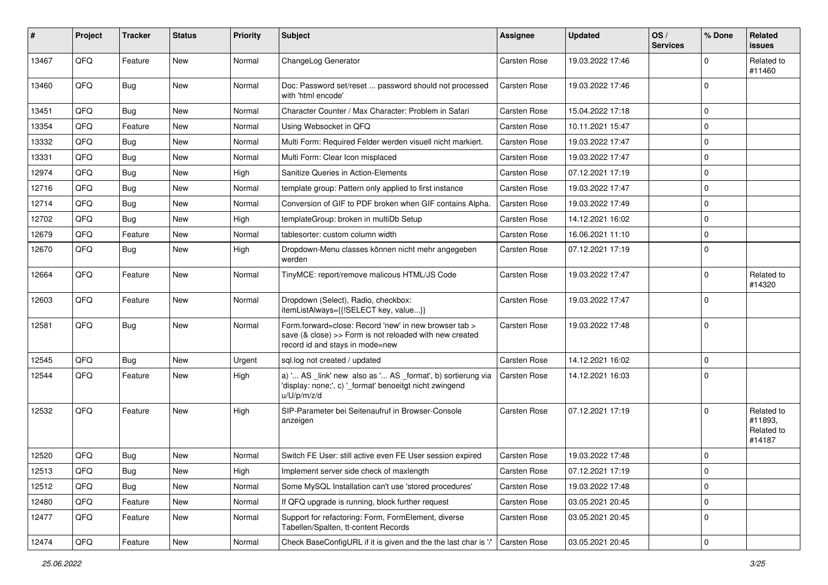| #     | Project | <b>Tracker</b> | <b>Status</b> | <b>Priority</b> | Subject                                                                                                                                             | <b>Assignee</b>     | <b>Updated</b>   | OS/<br><b>Services</b> | % Done      | Related<br><b>issues</b>                      |
|-------|---------|----------------|---------------|-----------------|-----------------------------------------------------------------------------------------------------------------------------------------------------|---------------------|------------------|------------------------|-------------|-----------------------------------------------|
| 13467 | QFQ     | Feature        | New           | Normal          | ChangeLog Generator                                                                                                                                 | <b>Carsten Rose</b> | 19.03.2022 17:46 |                        | $\Omega$    | Related to<br>#11460                          |
| 13460 | QFQ     | Bug            | New           | Normal          | Doc: Password set/reset  password should not processed<br>with 'html encode'                                                                        | Carsten Rose        | 19.03.2022 17:46 |                        | $\Omega$    |                                               |
| 13451 | QFQ     | <b>Bug</b>     | New           | Normal          | Character Counter / Max Character: Problem in Safari                                                                                                | Carsten Rose        | 15.04.2022 17:18 |                        | $\mathbf 0$ |                                               |
| 13354 | QFQ     | Feature        | New           | Normal          | Using Websocket in QFQ                                                                                                                              | <b>Carsten Rose</b> | 10.11.2021 15:47 |                        | $\mathbf 0$ |                                               |
| 13332 | QFQ     | <b>Bug</b>     | New           | Normal          | Multi Form: Required Felder werden visuell nicht markiert.                                                                                          | <b>Carsten Rose</b> | 19.03.2022 17:47 |                        | $\mathbf 0$ |                                               |
| 13331 | QFQ     | Bug            | New           | Normal          | Multi Form: Clear Icon misplaced                                                                                                                    | Carsten Rose        | 19.03.2022 17:47 |                        | $\mathbf 0$ |                                               |
| 12974 | QFQ     | <b>Bug</b>     | New           | High            | Sanitize Queries in Action-Elements                                                                                                                 | <b>Carsten Rose</b> | 07.12.2021 17:19 |                        | $\mathbf 0$ |                                               |
| 12716 | QFQ     | Bug            | <b>New</b>    | Normal          | template group: Pattern only applied to first instance                                                                                              | Carsten Rose        | 19.03.2022 17:47 |                        | $\mathbf 0$ |                                               |
| 12714 | QFQ     | <b>Bug</b>     | <b>New</b>    | Normal          | Conversion of GIF to PDF broken when GIF contains Alpha.                                                                                            | Carsten Rose        | 19.03.2022 17:49 |                        | $\mathbf 0$ |                                               |
| 12702 | QFQ     | Bug            | <b>New</b>    | High            | templateGroup: broken in multiDb Setup                                                                                                              | Carsten Rose        | 14.12.2021 16:02 |                        | $\mathbf 0$ |                                               |
| 12679 | QFQ     | Feature        | <b>New</b>    | Normal          | tablesorter: custom column width                                                                                                                    | Carsten Rose        | 16.06.2021 11:10 |                        | $\mathbf 0$ |                                               |
| 12670 | QFQ     | Bug            | New           | High            | Dropdown-Menu classes können nicht mehr angegeben<br>werden                                                                                         | Carsten Rose        | 07.12.2021 17:19 |                        | $\mathbf 0$ |                                               |
| 12664 | QFQ     | Feature        | New           | Normal          | TinyMCE: report/remove malicous HTML/JS Code                                                                                                        | Carsten Rose        | 19.03.2022 17:47 |                        | $\mathbf 0$ | Related to<br>#14320                          |
| 12603 | QFQ     | Feature        | <b>New</b>    | Normal          | Dropdown (Select), Radio, checkbox:<br>itemListAlways={{!SELECT key, value}}                                                                        | Carsten Rose        | 19.03.2022 17:47 |                        | $\mathbf 0$ |                                               |
| 12581 | QFQ     | Bug            | New           | Normal          | Form.forward=close: Record 'new' in new browser tab ><br>save (& close) >> Form is not reloaded with new created<br>record id and stays in mode=new | <b>Carsten Rose</b> | 19.03.2022 17:48 |                        | $\Omega$    |                                               |
| 12545 | QFQ     | Bug            | <b>New</b>    | Urgent          | sql.log not created / updated                                                                                                                       | Carsten Rose        | 14.12.2021 16:02 |                        | $\mathbf 0$ |                                               |
| 12544 | QFQ     | Feature        | New           | High            | a) ' AS _link' new also as ' AS _format', b) sortierung via<br>'display: none;', c) '_format' benoeitgt nicht zwingend<br>u/U/p/m/z/d               | Carsten Rose        | 14.12.2021 16:03 |                        | $\Omega$    |                                               |
| 12532 | QFQ     | Feature        | New           | High            | SIP-Parameter bei Seitenaufruf in Browser-Console<br>anzeigen                                                                                       | Carsten Rose        | 07.12.2021 17:19 |                        | $\Omega$    | Related to<br>#11893,<br>Related to<br>#14187 |
| 12520 | QFQ     | Bug            | New           | Normal          | Switch FE User: still active even FE User session expired                                                                                           | <b>Carsten Rose</b> | 19.03.2022 17:48 |                        | $\mathbf 0$ |                                               |
| 12513 | QFQ     | Bug            | New           | High            | Implement server side check of maxlength                                                                                                            | <b>Carsten Rose</b> | 07.12.2021 17:19 |                        | 0           |                                               |
| 12512 | QFQ     | Bug            | <b>New</b>    | Normal          | Some MySQL Installation can't use 'stored procedures'                                                                                               | Carsten Rose        | 19.03.2022 17:48 |                        | $\pmb{0}$   |                                               |
| 12480 | QFQ     | Feature        | New           | Normal          | If QFQ upgrade is running, block further request                                                                                                    | Carsten Rose        | 03.05.2021 20:45 |                        | $\pmb{0}$   |                                               |
| 12477 | QFQ     | Feature        | New           | Normal          | Support for refactoring: Form, FormElement, diverse<br>Tabellen/Spalten, tt-content Records                                                         | Carsten Rose        | 03.05.2021 20:45 |                        | 0           |                                               |
| 12474 | QFQ     | Feature        | New           | Normal          | Check BaseConfigURL if it is given and the the last char is '/'                                                                                     | Carsten Rose        | 03.05.2021 20:45 |                        | $\pmb{0}$   |                                               |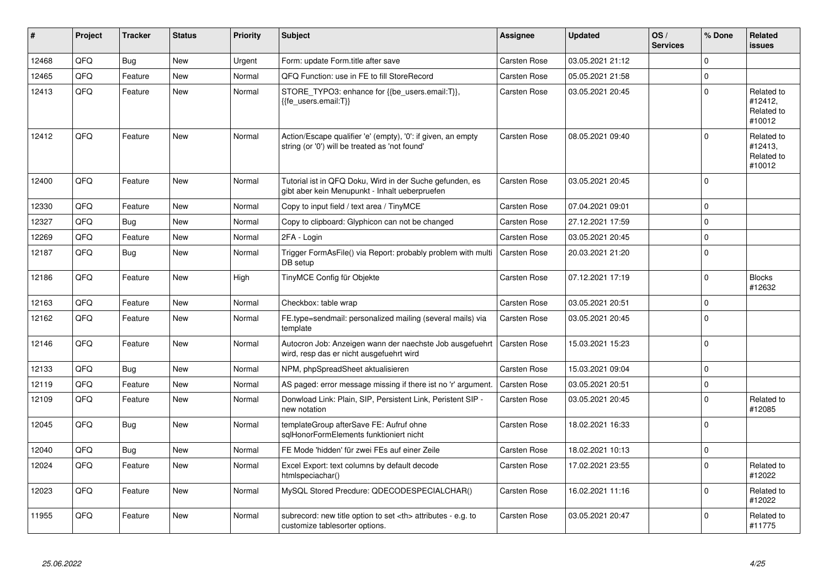| #     | Project | <b>Tracker</b> | <b>Status</b> | <b>Priority</b> | <b>Subject</b>                                                                                                 | <b>Assignee</b>                                        | <b>Updated</b>   | OS/<br><b>Services</b> | % Done   | Related<br><b>issues</b>                      |                      |
|-------|---------|----------------|---------------|-----------------|----------------------------------------------------------------------------------------------------------------|--------------------------------------------------------|------------------|------------------------|----------|-----------------------------------------------|----------------------|
| 12468 | QFQ     | <b>Bug</b>     | <b>New</b>    | Urgent          | Form: update Form.title after save                                                                             | <b>Carsten Rose</b>                                    | 03.05.2021 21:12 |                        | $\Omega$ |                                               |                      |
| 12465 | QFQ     | Feature        | New           | Normal          | QFQ Function: use in FE to fill StoreRecord                                                                    | Carsten Rose                                           | 05.05.2021 21:58 |                        | $\Omega$ |                                               |                      |
| 12413 | QFQ     | Feature        | <b>New</b>    | Normal          | STORE_TYPO3: enhance for {{be_users.email:T}},<br>{{fe users.email:T}}                                         | Carsten Rose                                           | 03.05.2021 20:45 |                        | $\Omega$ | Related to<br>#12412,<br>Related to<br>#10012 |                      |
| 12412 | QFQ     | Feature        | <b>New</b>    | Normal          | Action/Escape qualifier 'e' (empty), '0': if given, an empty<br>string (or '0') will be treated as 'not found' | <b>Carsten Rose</b>                                    | 08.05.2021 09:40 |                        | $\Omega$ | Related to<br>#12413,<br>Related to<br>#10012 |                      |
| 12400 | QFQ     | Feature        | <b>New</b>    | Normal          | Tutorial ist in QFQ Doku, Wird in der Suche gefunden, es<br>gibt aber kein Menupunkt - Inhalt ueberpruefen     | <b>Carsten Rose</b>                                    | 03.05.2021 20:45 |                        | $\Omega$ |                                               |                      |
| 12330 | QFQ     | Feature        | <b>New</b>    | Normal          | Copy to input field / text area / TinyMCE                                                                      | <b>Carsten Rose</b>                                    | 07.04.2021 09:01 |                        | $\Omega$ |                                               |                      |
| 12327 | QFQ     | Bug            | <b>New</b>    | Normal          | Copy to clipboard: Glyphicon can not be changed                                                                | <b>Carsten Rose</b>                                    | 27.12.2021 17:59 |                        | $\Omega$ |                                               |                      |
| 12269 | QFQ     | Feature        | <b>New</b>    | Normal          | 2FA - Login                                                                                                    | Carsten Rose                                           | 03.05.2021 20:45 |                        | $\Omega$ |                                               |                      |
| 12187 | QFQ     | <b>Bug</b>     | <b>New</b>    | Normal          | Trigger FormAsFile() via Report: probably problem with multi<br>DB setup                                       | <b>Carsten Rose</b>                                    | 20.03.2021 21:20 |                        | $\Omega$ |                                               |                      |
| 12186 | QFQ     | Feature        | <b>New</b>    | High            | TinyMCE Config für Objekte                                                                                     | <b>Carsten Rose</b>                                    | 07.12.2021 17:19 |                        | $\Omega$ | <b>Blocks</b><br>#12632                       |                      |
| 12163 | QFQ     | Feature        | <b>New</b>    | Normal          | Checkbox: table wrap                                                                                           | <b>Carsten Rose</b>                                    | 03.05.2021 20:51 |                        | $\Omega$ |                                               |                      |
| 12162 | QFQ     | Feature        | <b>New</b>    | Normal          | FE.type=sendmail: personalized mailing (several mails) via<br>template                                         | <b>Carsten Rose</b>                                    | 03.05.2021 20:45 |                        | $\Omega$ |                                               |                      |
| 12146 | QFQ     | Feature        | <b>New</b>    | Normal          | Autocron Job: Anzeigen wann der naechste Job ausgefuehrt<br>wird, resp das er nicht ausgefuehrt wird           | Carsten Rose                                           | 15.03.2021 15:23 |                        | $\Omega$ |                                               |                      |
| 12133 | QFQ     | Bug            | <b>New</b>    | Normal          | NPM, phpSpreadSheet aktualisieren                                                                              | <b>Carsten Rose</b>                                    | 15.03.2021 09:04 |                        | $\Omega$ |                                               |                      |
| 12119 | QFQ     | Feature        | <b>New</b>    | Normal          | AS paged: error message missing if there ist no 'r' argument.                                                  | <b>Carsten Rose</b>                                    | 03.05.2021 20:51 |                        | $\Omega$ |                                               |                      |
| 12109 | QFQ     | Feature        | <b>New</b>    | Normal          | Donwload Link: Plain, SIP, Persistent Link, Peristent SIP -<br>new notation                                    | Carsten Rose                                           | 03.05.2021 20:45 |                        | $\Omega$ | Related to<br>#12085                          |                      |
| 12045 | QFQ     | Bug            | New           | Normal          | templateGroup afterSave FE: Aufruf ohne<br>sglHonorFormElements funktioniert nicht                             | <b>Carsten Rose</b>                                    | 18.02.2021 16:33 |                        | $\Omega$ |                                               |                      |
| 12040 | QFQ     | <b>Bug</b>     | <b>New</b>    | Normal          | FE Mode 'hidden' für zwei FEs auf einer Zeile                                                                  | Carsten Rose                                           | 18.02.2021 10:13 |                        | $\Omega$ |                                               |                      |
| 12024 | QFQ     | Feature        | <b>New</b>    | Normal          | Excel Export: text columns by default decode<br>htmlspeciachar()                                               | <b>Carsten Rose</b>                                    | 17.02.2021 23:55 |                        | $\Omega$ | Related to<br>#12022                          |                      |
| 12023 | QFQ     | Feature        | <b>New</b>    | Normal          | MySQL Stored Precdure: QDECODESPECIALCHAR()                                                                    | <b>Carsten Rose</b>                                    | 16.02.2021 11:16 |                        | $\Omega$ | Related to<br>#12022                          |                      |
| 11955 | QFQ     | Feature        | <b>New</b>    | Normal          | subrecord: new title option to set <th> attributes - e.g. to<br/>customize tablesorter options.</th>           | attributes - e.g. to<br>customize tablesorter options. | Carsten Rose     | 03.05.2021 20:47       |          | $\Omega$                                      | Related to<br>#11775 |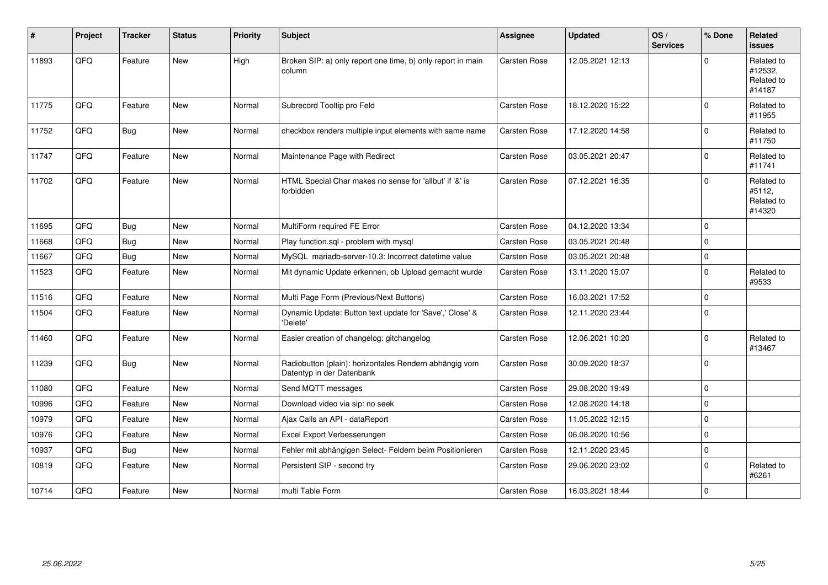| #     | Project | <b>Tracker</b> | <b>Status</b> | <b>Priority</b> | <b>Subject</b>                                                                      | <b>Assignee</b>     | <b>Updated</b>   | OS/<br><b>Services</b> | % Done      | <b>Related</b><br><b>issues</b>               |
|-------|---------|----------------|---------------|-----------------|-------------------------------------------------------------------------------------|---------------------|------------------|------------------------|-------------|-----------------------------------------------|
| 11893 | QFQ     | Feature        | <b>New</b>    | High            | Broken SIP: a) only report one time, b) only report in main<br>column               | Carsten Rose        | 12.05.2021 12:13 |                        | 0           | Related to<br>#12532,<br>Related to<br>#14187 |
| 11775 | QFQ     | Feature        | <b>New</b>    | Normal          | Subrecord Tooltip pro Feld                                                          | <b>Carsten Rose</b> | 18.12.2020 15:22 |                        | 0           | Related to<br>#11955                          |
| 11752 | QFQ     | <b>Bug</b>     | New           | Normal          | checkbox renders multiple input elements with same name                             | <b>Carsten Rose</b> | 17.12.2020 14:58 |                        | 0           | Related to<br>#11750                          |
| 11747 | QFQ     | Feature        | New           | Normal          | Maintenance Page with Redirect                                                      | <b>Carsten Rose</b> | 03.05.2021 20:47 |                        | 0           | Related to<br>#11741                          |
| 11702 | QFQ     | Feature        | New           | Normal          | HTML Special Char makes no sense for 'allbut' if '&' is<br>forbidden                | <b>Carsten Rose</b> | 07.12.2021 16:35 |                        | $\Omega$    | Related to<br>#5112,<br>Related to<br>#14320  |
| 11695 | QFQ     | Bug            | <b>New</b>    | Normal          | MultiForm required FE Error                                                         | <b>Carsten Rose</b> | 04.12.2020 13:34 |                        | 0           |                                               |
| 11668 | QFQ     | <b>Bug</b>     | New           | Normal          | Play function.sgl - problem with mysgl                                              | Carsten Rose        | 03.05.2021 20:48 |                        | 0           |                                               |
| 11667 | QFQ     | <b>Bug</b>     | New           | Normal          | MySQL mariadb-server-10.3: Incorrect datetime value                                 | Carsten Rose        | 03.05.2021 20:48 |                        | $\Omega$    |                                               |
| 11523 | QFQ     | Feature        | New           | Normal          | Mit dynamic Update erkennen, ob Upload gemacht wurde                                | <b>Carsten Rose</b> | 13.11.2020 15:07 |                        | $\Omega$    | Related to<br>#9533                           |
| 11516 | QFQ     | Feature        | New           | Normal          | Multi Page Form (Previous/Next Buttons)                                             | Carsten Rose        | 16.03.2021 17:52 |                        | $\mathbf 0$ |                                               |
| 11504 | QFQ     | Feature        | <b>New</b>    | Normal          | Dynamic Update: Button text update for 'Save',' Close' &<br>'Delete'                | <b>Carsten Rose</b> | 12.11.2020 23:44 |                        | 0           |                                               |
| 11460 | QFQ     | Feature        | <b>New</b>    | Normal          | Easier creation of changelog: gitchangelog                                          | <b>Carsten Rose</b> | 12.06.2021 10:20 |                        | 0           | Related to<br>#13467                          |
| 11239 | QFQ     | <b>Bug</b>     | <b>New</b>    | Normal          | Radiobutton (plain): horizontales Rendern abhängig vom<br>Datentyp in der Datenbank | <b>Carsten Rose</b> | 30.09.2020 18:37 |                        | 0           |                                               |
| 11080 | QFQ     | Feature        | New           | Normal          | Send MQTT messages                                                                  | <b>Carsten Rose</b> | 29.08.2020 19:49 |                        | $\mathbf 0$ |                                               |
| 10996 | QFQ     | Feature        | <b>New</b>    | Normal          | Download video via sip: no seek                                                     | <b>Carsten Rose</b> | 12.08.2020 14:18 |                        | $\Omega$    |                                               |
| 10979 | QFQ     | Feature        | <b>New</b>    | Normal          | Ajax Calls an API - dataReport                                                      | <b>Carsten Rose</b> | 11.05.2022 12:15 |                        | 0           |                                               |
| 10976 | QFQ     | Feature        | <b>New</b>    | Normal          | Excel Export Verbesserungen                                                         | Carsten Rose        | 06.08.2020 10:56 |                        | 0           |                                               |
| 10937 | QFQ     | <b>Bug</b>     | <b>New</b>    | Normal          | Fehler mit abhängigen Select- Feldern beim Positionieren                            | <b>Carsten Rose</b> | 12.11.2020 23:45 |                        | $\Omega$    |                                               |
| 10819 | QFQ     | Feature        | <b>New</b>    | Normal          | Persistent SIP - second try                                                         | <b>Carsten Rose</b> | 29.06.2020 23:02 |                        | $\Omega$    | Related to<br>#6261                           |
| 10714 | QFQ     | Feature        | <b>New</b>    | Normal          | multi Table Form                                                                    | Carsten Rose        | 16.03.2021 18:44 |                        | 0           |                                               |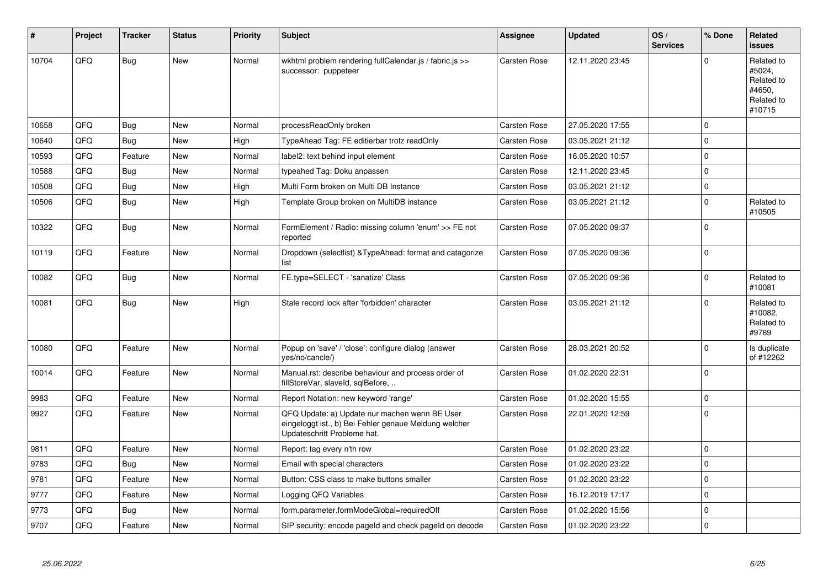| #     | Project | <b>Tracker</b> | <b>Status</b> | <b>Priority</b> | <b>Subject</b>                                                                                                                        | <b>Assignee</b>     | <b>Updated</b>   | OS/<br><b>Services</b> | % Done      | Related<br><b>issues</b>                                             |
|-------|---------|----------------|---------------|-----------------|---------------------------------------------------------------------------------------------------------------------------------------|---------------------|------------------|------------------------|-------------|----------------------------------------------------------------------|
| 10704 | QFQ     | <b>Bug</b>     | <b>New</b>    | Normal          | wkhtml problem rendering fullCalendar.js / fabric.js >><br>successor: puppeteer                                                       | <b>Carsten Rose</b> | 12.11.2020 23:45 |                        | $\Omega$    | Related to<br>#5024,<br>Related to<br>#4650.<br>Related to<br>#10715 |
| 10658 | QFQ     | <b>Bug</b>     | <b>New</b>    | Normal          | processReadOnly broken                                                                                                                | <b>Carsten Rose</b> | 27.05.2020 17:55 |                        | $\mathbf 0$ |                                                                      |
| 10640 | QFQ     | <b>Bug</b>     | <b>New</b>    | High            | TypeAhead Tag: FE editierbar trotz readOnly                                                                                           | <b>Carsten Rose</b> | 03.05.2021 21:12 |                        | $\mathbf 0$ |                                                                      |
| 10593 | QFQ     | Feature        | <b>New</b>    | Normal          | label2: text behind input element                                                                                                     | <b>Carsten Rose</b> | 16.05.2020 10:57 |                        | $\mathbf 0$ |                                                                      |
| 10588 | QFQ     | <b>Bug</b>     | <b>New</b>    | Normal          | typeahed Tag: Doku anpassen                                                                                                           | <b>Carsten Rose</b> | 12.11.2020 23:45 |                        | $\pmb{0}$   |                                                                      |
| 10508 | QFQ     | Bug            | <b>New</b>    | High            | Multi Form broken on Multi DB Instance                                                                                                | <b>Carsten Rose</b> | 03.05.2021 21:12 |                        | $\mathbf 0$ |                                                                      |
| 10506 | QFQ     | <b>Bug</b>     | <b>New</b>    | High            | Template Group broken on MultiDB instance                                                                                             | <b>Carsten Rose</b> | 03.05.2021 21:12 |                        | $\mathbf 0$ | Related to<br>#10505                                                 |
| 10322 | QFQ     | <b>Bug</b>     | <b>New</b>    | Normal          | FormElement / Radio: missing column 'enum' >> FE not<br>reported                                                                      | <b>Carsten Rose</b> | 07.05.2020 09:37 |                        | $\mathbf 0$ |                                                                      |
| 10119 | QFQ     | Feature        | <b>New</b>    | Normal          | Dropdown (selectlist) & Type Ahead: format and catagorize<br>list                                                                     | <b>Carsten Rose</b> | 07.05.2020 09:36 |                        | $\mathbf 0$ |                                                                      |
| 10082 | QFQ     | <b>Bug</b>     | <b>New</b>    | Normal          | FE.type=SELECT - 'sanatize' Class                                                                                                     | Carsten Rose        | 07.05.2020 09:36 |                        | $\mathbf 0$ | Related to<br>#10081                                                 |
| 10081 | QFQ     | Bug            | <b>New</b>    | High            | Stale record lock after 'forbidden' character                                                                                         | <b>Carsten Rose</b> | 03.05.2021 21:12 |                        | $\Omega$    | Related to<br>#10082,<br>Related to<br>#9789                         |
| 10080 | QFQ     | Feature        | <b>New</b>    | Normal          | Popup on 'save' / 'close': configure dialog (answer<br>yes/no/cancle/)                                                                | <b>Carsten Rose</b> | 28.03.2021 20:52 |                        | $\mathbf 0$ | Is duplicate<br>of #12262                                            |
| 10014 | QFQ     | Feature        | <b>New</b>    | Normal          | Manual.rst: describe behaviour and process order of<br>fillStoreVar, slaveId, sqlBefore,                                              | <b>Carsten Rose</b> | 01.02.2020 22:31 |                        | $\mathbf 0$ |                                                                      |
| 9983  | QFQ     | Feature        | <b>New</b>    | Normal          | Report Notation: new keyword 'range'                                                                                                  | <b>Carsten Rose</b> | 01.02.2020 15:55 |                        | $\pmb{0}$   |                                                                      |
| 9927  | QFQ     | Feature        | <b>New</b>    | Normal          | QFQ Update: a) Update nur machen wenn BE User<br>eingeloggt ist., b) Bei Fehler genaue Meldung welcher<br>Updateschritt Probleme hat. | <b>Carsten Rose</b> | 22.01.2020 12:59 |                        | $\mathbf 0$ |                                                                      |
| 9811  | QFQ     | Feature        | <b>New</b>    | Normal          | Report: tag every n'th row                                                                                                            | <b>Carsten Rose</b> | 01.02.2020 23:22 |                        | $\mathbf 0$ |                                                                      |
| 9783  | QFQ     | Bug            | <b>New</b>    | Normal          | Email with special characters                                                                                                         | <b>Carsten Rose</b> | 01.02.2020 23:22 |                        | $\pmb{0}$   |                                                                      |
| 9781  | QFQ     | Feature        | <b>New</b>    | Normal          | Button: CSS class to make buttons smaller                                                                                             | <b>Carsten Rose</b> | 01.02.2020 23:22 |                        | $\mathbf 0$ |                                                                      |
| 9777  | QFQ     | Feature        | <b>New</b>    | Normal          | Logging QFQ Variables                                                                                                                 | <b>Carsten Rose</b> | 16.12.2019 17:17 |                        | $\pmb{0}$   |                                                                      |
| 9773  | QFQ     | Bug            | <b>New</b>    | Normal          | form.parameter.formModeGlobal=requiredOff                                                                                             | Carsten Rose        | 01.02.2020 15:56 |                        | $\mathbf 0$ |                                                                      |
| 9707  | QFQ     | Feature        | <b>New</b>    | Normal          | SIP security: encode pageld and check pageld on decode                                                                                | <b>Carsten Rose</b> | 01.02.2020 23:22 |                        | $\mathbf 0$ |                                                                      |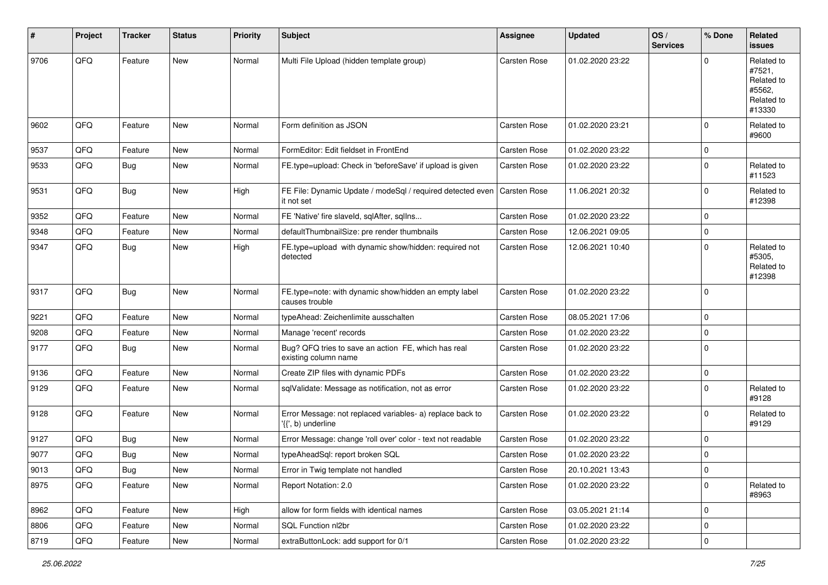| ∦    | Project        | <b>Tracker</b> | <b>Status</b> | <b>Priority</b> | <b>Subject</b>                                                                          | <b>Assignee</b>     | <b>Updated</b>   | OS/<br><b>Services</b> | % Done      | Related<br>issues                                                    |
|------|----------------|----------------|---------------|-----------------|-----------------------------------------------------------------------------------------|---------------------|------------------|------------------------|-------------|----------------------------------------------------------------------|
| 9706 | QFQ            | Feature        | New           | Normal          | Multi File Upload (hidden template group)                                               | <b>Carsten Rose</b> | 01.02.2020 23:22 |                        | $\Omega$    | Related to<br>#7521,<br>Related to<br>#5562,<br>Related to<br>#13330 |
| 9602 | QFQ            | Feature        | <b>New</b>    | Normal          | Form definition as JSON                                                                 | <b>Carsten Rose</b> | 01.02.2020 23:21 |                        | $\Omega$    | Related to<br>#9600                                                  |
| 9537 | QFQ            | Feature        | <b>New</b>    | Normal          | FormEditor: Edit fieldset in FrontEnd                                                   | <b>Carsten Rose</b> | 01.02.2020 23:22 |                        | $\Omega$    |                                                                      |
| 9533 | QFQ            | Bug            | <b>New</b>    | Normal          | FE.type=upload: Check in 'beforeSave' if upload is given                                | Carsten Rose        | 01.02.2020 23:22 |                        | $\Omega$    | Related to<br>#11523                                                 |
| 9531 | QFQ            | Bug            | <b>New</b>    | High            | FE File: Dynamic Update / modeSql / required detected even   Carsten Rose<br>it not set |                     | 11.06.2021 20:32 |                        | $\Omega$    | Related to<br>#12398                                                 |
| 9352 | QFQ            | Feature        | New           | Normal          | FE 'Native' fire slaveld, sqlAfter, sqlIns                                              | <b>Carsten Rose</b> | 01.02.2020 23:22 |                        | $\Omega$    |                                                                      |
| 9348 | QFQ            | Feature        | <b>New</b>    | Normal          | defaultThumbnailSize: pre render thumbnails                                             | <b>Carsten Rose</b> | 12.06.2021 09:05 |                        | $\mathbf 0$ |                                                                      |
| 9347 | QFQ            | Bug            | New           | High            | FE.type=upload with dynamic show/hidden: required not<br>detected                       | Carsten Rose        | 12.06.2021 10:40 |                        | $\Omega$    | Related to<br>#5305,<br>Related to<br>#12398                         |
| 9317 | QFQ            | Bug            | <b>New</b>    | Normal          | FE.type=note: with dynamic show/hidden an empty label<br>causes trouble                 | <b>Carsten Rose</b> | 01.02.2020 23:22 |                        | $\Omega$    |                                                                      |
| 9221 | QFQ            | Feature        | New           | Normal          | typeAhead: Zeichenlimite ausschalten                                                    | Carsten Rose        | 08.05.2021 17:06 |                        | $\Omega$    |                                                                      |
| 9208 | QFQ            | Feature        | <b>New</b>    | Normal          | Manage 'recent' records                                                                 | <b>Carsten Rose</b> | 01.02.2020 23:22 |                        | $\Omega$    |                                                                      |
| 9177 | QFQ            | Bug            | New           | Normal          | Bug? QFQ tries to save an action FE, which has real<br>existing column name             | <b>Carsten Rose</b> | 01.02.2020 23:22 |                        | $\Omega$    |                                                                      |
| 9136 | QFQ            | Feature        | New           | Normal          | Create ZIP files with dynamic PDFs                                                      | <b>Carsten Rose</b> | 01.02.2020 23:22 |                        | 0           |                                                                      |
| 9129 | QFQ            | Feature        | New           | Normal          | sqlValidate: Message as notification, not as error                                      | <b>Carsten Rose</b> | 01.02.2020 23:22 |                        | $\Omega$    | Related to<br>#9128                                                  |
| 9128 | QFQ            | Feature        | <b>New</b>    | Normal          | Error Message: not replaced variables- a) replace back to<br>'{{', b) underline         | Carsten Rose        | 01.02.2020 23:22 |                        | $\Omega$    | Related to<br>#9129                                                  |
| 9127 | QFQ            | <b>Bug</b>     | New           | Normal          | Error Message: change 'roll over' color - text not readable                             | <b>Carsten Rose</b> | 01.02.2020 23:22 |                        | $\Omega$    |                                                                      |
| 9077 | QFQ            | Bug            | New           | Normal          | typeAheadSql: report broken SQL                                                         | Carsten Rose        | 01.02.2020 23:22 |                        | $\Omega$    |                                                                      |
| 9013 | $\mathsf{QFQ}$ | Bug            | New           | Normal          | Error in Twig template not handled                                                      | Carsten Rose        | 20.10.2021 13:43 |                        | $\pmb{0}$   |                                                                      |
| 8975 | QFQ            | Feature        | <b>New</b>    | Normal          | Report Notation: 2.0                                                                    | Carsten Rose        | 01.02.2020 23:22 |                        | 0           | Related to<br>#8963                                                  |
| 8962 | QFQ            | Feature        | New           | High            | allow for form fields with identical names                                              | Carsten Rose        | 03.05.2021 21:14 |                        | 0           |                                                                      |
| 8806 | QFQ            | Feature        | New           | Normal          | SQL Function nl2br                                                                      | Carsten Rose        | 01.02.2020 23:22 |                        | 0           |                                                                      |
| 8719 | QFQ            | Feature        | New           | Normal          | extraButtonLock: add support for 0/1                                                    | Carsten Rose        | 01.02.2020 23:22 |                        | $\pmb{0}$   |                                                                      |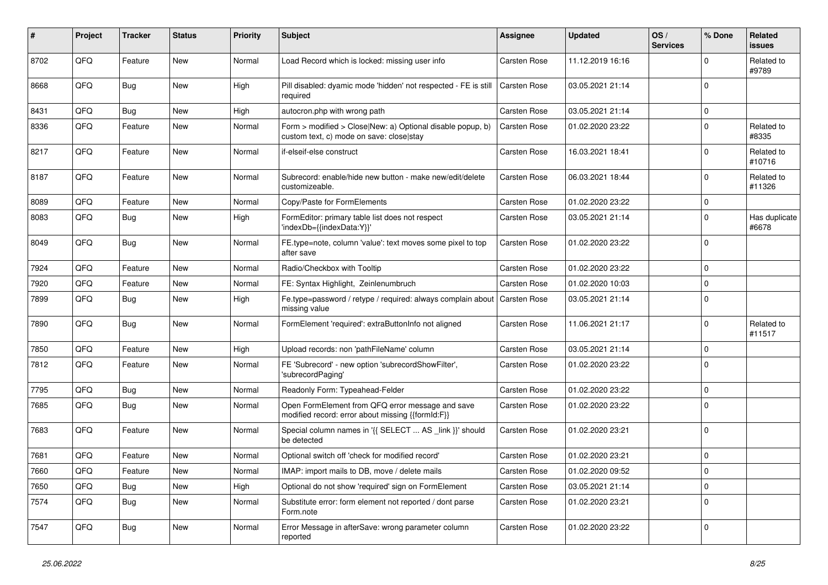| ∦    | Project | <b>Tracker</b> | <b>Status</b> | <b>Priority</b> | Subject                                                                                                | <b>Assignee</b>     | <b>Updated</b>   | OS/<br><b>Services</b> | % Done      | Related<br>issues      |
|------|---------|----------------|---------------|-----------------|--------------------------------------------------------------------------------------------------------|---------------------|------------------|------------------------|-------------|------------------------|
| 8702 | QFQ     | Feature        | <b>New</b>    | Normal          | Load Record which is locked: missing user info                                                         | <b>Carsten Rose</b> | 11.12.2019 16:16 |                        | $\mathbf 0$ | Related to<br>#9789    |
| 8668 | QFQ     | <b>Bug</b>     | New           | High            | Pill disabled: dyamic mode 'hidden' not respected - FE is still<br>required                            | Carsten Rose        | 03.05.2021 21:14 |                        | $\Omega$    |                        |
| 8431 | QFQ     | <b>Bug</b>     | New           | High            | autocron.php with wrong path                                                                           | <b>Carsten Rose</b> | 03.05.2021 21:14 |                        | $\Omega$    |                        |
| 8336 | QFQ     | Feature        | New           | Normal          | Form > modified > Close New: a) Optional disable popup, b)<br>custom text, c) mode on save: close stay | <b>Carsten Rose</b> | 01.02.2020 23:22 |                        | $\Omega$    | Related to<br>#8335    |
| 8217 | QFQ     | Feature        | <b>New</b>    | Normal          | if-elseif-else construct                                                                               | Carsten Rose        | 16.03.2021 18:41 |                        | $\Omega$    | Related to<br>#10716   |
| 8187 | QFQ     | Feature        | <b>New</b>    | Normal          | Subrecord: enable/hide new button - make new/edit/delete<br>customizeable.                             | Carsten Rose        | 06.03.2021 18:44 |                        | $\mathbf 0$ | Related to<br>#11326   |
| 8089 | QFQ     | Feature        | <b>New</b>    | Normal          | Copy/Paste for FormElements                                                                            | <b>Carsten Rose</b> | 01.02.2020 23:22 |                        | $\mathbf 0$ |                        |
| 8083 | QFQ     | Bug            | <b>New</b>    | High            | FormEditor: primary table list does not respect<br>'indexDb={{indexData:Y}}'                           | <b>Carsten Rose</b> | 03.05.2021 21:14 |                        | $\Omega$    | Has duplicate<br>#6678 |
| 8049 | QFQ     | Bug            | New           | Normal          | FE.type=note, column 'value': text moves some pixel to top<br>after save                               | Carsten Rose        | 01.02.2020 23:22 |                        | $\Omega$    |                        |
| 7924 | QFQ     | Feature        | New           | Normal          | Radio/Checkbox with Tooltip                                                                            | <b>Carsten Rose</b> | 01.02.2020 23:22 |                        | $\Omega$    |                        |
| 7920 | QFQ     | Feature        | <b>New</b>    | Normal          | FE: Syntax Highlight, Zeinlenumbruch                                                                   | <b>Carsten Rose</b> | 01.02.2020 10:03 |                        | $\Omega$    |                        |
| 7899 | QFQ     | Bug            | New           | High            | Fe.type=password / retype / required: always complain about<br>missing value                           | <b>Carsten Rose</b> | 03.05.2021 21:14 |                        | $\Omega$    |                        |
| 7890 | QFQ     | Bug            | New           | Normal          | FormElement 'required': extraButtonInfo not aligned                                                    | Carsten Rose        | 11.06.2021 21:17 |                        | $\Omega$    | Related to<br>#11517   |
| 7850 | QFQ     | Feature        | <b>New</b>    | High            | Upload records: non 'pathFileName' column                                                              | <b>Carsten Rose</b> | 03.05.2021 21:14 |                        | $\Omega$    |                        |
| 7812 | QFQ     | Feature        | New           | Normal          | FE 'Subrecord' - new option 'subrecordShowFilter',<br>'subrecordPaging'                                | <b>Carsten Rose</b> | 01.02.2020 23:22 |                        | $\Omega$    |                        |
| 7795 | QFQ     | <b>Bug</b>     | <b>New</b>    | Normal          | Readonly Form: Typeahead-Felder                                                                        | <b>Carsten Rose</b> | 01.02.2020 23:22 |                        | $\Omega$    |                        |
| 7685 | QFQ     | Bug            | New           | Normal          | Open FormElement from QFQ error message and save<br>modified record: error about missing {{formId:F}}  | Carsten Rose        | 01.02.2020 23:22 |                        | $\Omega$    |                        |
| 7683 | QFQ     | Feature        | <b>New</b>    | Normal          | Special column names in '{{ SELECT  AS _link }}' should<br>be detected                                 | <b>Carsten Rose</b> | 01.02.2020 23:21 |                        | $\Omega$    |                        |
| 7681 | QFQ     | Feature        | New           | Normal          | Optional switch off 'check for modified record'                                                        | <b>Carsten Rose</b> | 01.02.2020 23:21 |                        | $\Omega$    |                        |
| 7660 | QFQ     | Feature        | New           | Normal          | IMAP: import mails to DB, move / delete mails                                                          | Carsten Rose        | 01.02.2020 09:52 |                        | 0           |                        |
| 7650 | QFQ     | <b>Bug</b>     | New           | High            | Optional do not show 'required' sign on FormElement                                                    | Carsten Rose        | 03.05.2021 21:14 |                        | 0           |                        |
| 7574 | QFQ     | <b>Bug</b>     | New           | Normal          | Substitute error: form element not reported / dont parse<br>Form.note                                  | Carsten Rose        | 01.02.2020 23:21 |                        | 0           |                        |
| 7547 | QFQ     | Bug            | New           | Normal          | Error Message in afterSave: wrong parameter column<br>reported                                         | Carsten Rose        | 01.02.2020 23:22 |                        | 0           |                        |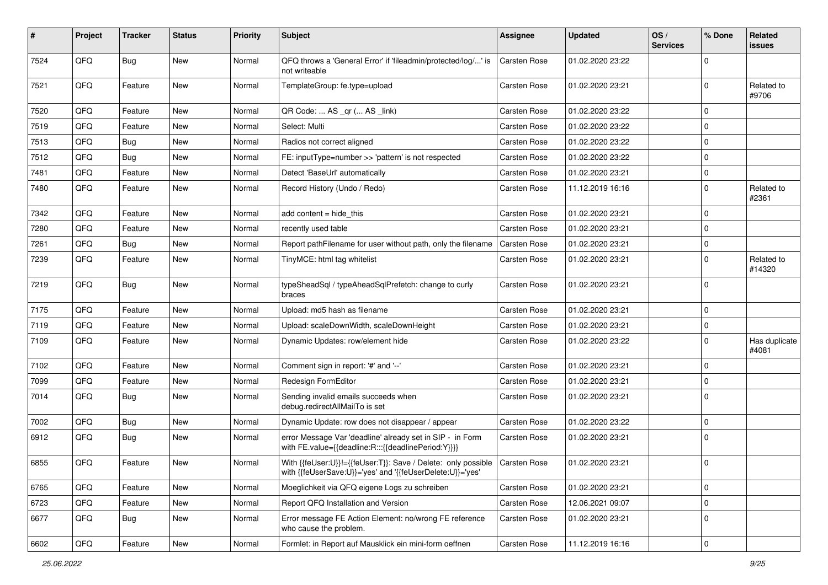| #    | Project | <b>Tracker</b> | <b>Status</b> | <b>Priority</b> | <b>Subject</b>                                                                                                             | <b>Assignee</b>     | <b>Updated</b>   | OS/<br><b>Services</b> | % Done      | Related<br>issues      |
|------|---------|----------------|---------------|-----------------|----------------------------------------------------------------------------------------------------------------------------|---------------------|------------------|------------------------|-------------|------------------------|
| 7524 | QFQ     | <b>Bug</b>     | <b>New</b>    | Normal          | QFQ throws a 'General Error' if 'fileadmin/protected/log/' is<br>not writeable                                             | Carsten Rose        | 01.02.2020 23:22 |                        | $\Omega$    |                        |
| 7521 | QFQ     | Feature        | New           | Normal          | TemplateGroup: fe.type=upload                                                                                              | Carsten Rose        | 01.02.2020 23:21 |                        | $\mathbf 0$ | Related to<br>#9706    |
| 7520 | QFQ     | Feature        | <b>New</b>    | Normal          | QR Code:  AS _qr ( AS _link)                                                                                               | <b>Carsten Rose</b> | 01.02.2020 23:22 |                        | $\Omega$    |                        |
| 7519 | QFQ     | Feature        | New           | Normal          | Select: Multi                                                                                                              | <b>Carsten Rose</b> | 01.02.2020 23:22 |                        | $\mathbf 0$ |                        |
| 7513 | QFQ     | Bug            | New           | Normal          | Radios not correct aligned                                                                                                 | <b>Carsten Rose</b> | 01.02.2020 23:22 |                        | $\mathbf 0$ |                        |
| 7512 | QFQ     | Bug            | New           | Normal          | FE: inputType=number >> 'pattern' is not respected                                                                         | Carsten Rose        | 01.02.2020 23:22 |                        | $\mathbf 0$ |                        |
| 7481 | QFQ     | Feature        | <b>New</b>    | Normal          | Detect 'BaseUrl' automatically                                                                                             | <b>Carsten Rose</b> | 01.02.2020 23:21 |                        | $\mathbf 0$ |                        |
| 7480 | QFQ     | Feature        | New           | Normal          | Record History (Undo / Redo)                                                                                               | <b>Carsten Rose</b> | 11.12.2019 16:16 |                        | $\mathbf 0$ | Related to<br>#2361    |
| 7342 | QFQ     | Feature        | <b>New</b>    | Normal          | add content = hide_this                                                                                                    | Carsten Rose        | 01.02.2020 23:21 |                        | $\mathbf 0$ |                        |
| 7280 | QFQ     | Feature        | New           | Normal          | recently used table                                                                                                        | <b>Carsten Rose</b> | 01.02.2020 23:21 |                        | $\mathbf 0$ |                        |
| 7261 | QFQ     | Bug            | <b>New</b>    | Normal          | Report pathFilename for user without path, only the filename                                                               | <b>Carsten Rose</b> | 01.02.2020 23:21 |                        | $\mathbf 0$ |                        |
| 7239 | QFQ     | Feature        | New           | Normal          | TinyMCE: html tag whitelist                                                                                                | Carsten Rose        | 01.02.2020 23:21 |                        | $\mathbf 0$ | Related to<br>#14320   |
| 7219 | QFQ     | Bug            | New           | Normal          | typeSheadSql / typeAheadSqlPrefetch: change to curly<br>braces                                                             | <b>Carsten Rose</b> | 01.02.2020 23:21 |                        | $\mathbf 0$ |                        |
| 7175 | QFQ     | Feature        | New           | Normal          | Upload: md5 hash as filename                                                                                               | <b>Carsten Rose</b> | 01.02.2020 23:21 |                        | $\mathbf 0$ |                        |
| 7119 | QFQ     | Feature        | <b>New</b>    | Normal          | Upload: scaleDownWidth, scaleDownHeight                                                                                    | <b>Carsten Rose</b> | 01.02.2020 23:21 |                        | $\mathbf 0$ |                        |
| 7109 | QFQ     | Feature        | New           | Normal          | Dynamic Updates: row/element hide                                                                                          | <b>Carsten Rose</b> | 01.02.2020 23:22 |                        | $\mathbf 0$ | Has duplicate<br>#4081 |
| 7102 | QFQ     | Feature        | <b>New</b>    | Normal          | Comment sign in report: '#' and '--'                                                                                       | Carsten Rose        | 01.02.2020 23:21 |                        | $\mathbf 0$ |                        |
| 7099 | QFQ     | Feature        | <b>New</b>    | Normal          | Redesign FormEditor                                                                                                        | Carsten Rose        | 01.02.2020 23:21 |                        | $\mathbf 0$ |                        |
| 7014 | QFQ     | Bug            | New           | Normal          | Sending invalid emails succeeds when<br>debug.redirectAllMailTo is set                                                     | <b>Carsten Rose</b> | 01.02.2020 23:21 |                        | $\Omega$    |                        |
| 7002 | QFQ     | Bug            | <b>New</b>    | Normal          | Dynamic Update: row does not disappear / appear                                                                            | Carsten Rose        | 01.02.2020 23:22 |                        | $\mathbf 0$ |                        |
| 6912 | QFQ     | Bug            | <b>New</b>    | Normal          | error Message Var 'deadline' already set in SIP - in Form<br>with FE.value={{deadline:R:::{{deadlinePeriod:Y}}}}           | <b>Carsten Rose</b> | 01.02.2020 23:21 |                        | $\mathbf 0$ |                        |
| 6855 | QFQ     | Feature        | New           | Normal          | With {{feUser:U}}!={{feUser:T}}: Save / Delete: only possible<br>with {{feUserSave:U}}='yes' and '{{feUserDelete:U}}='yes' | Carsten Rose        | 01.02.2020 23:21 |                        | $\mathbf 0$ |                        |
| 6765 | QFQ     | Feature        | <b>New</b>    | Normal          | Moeglichkeit via QFQ eigene Logs zu schreiben                                                                              | Carsten Rose        | 01.02.2020 23:21 |                        | $\mathbf 0$ |                        |
| 6723 | QFQ     | Feature        | New           | Normal          | Report QFQ Installation and Version                                                                                        | Carsten Rose        | 12.06.2021 09:07 |                        | $\mathbf 0$ |                        |
| 6677 | QFQ     | <b>Bug</b>     | New           | Normal          | Error message FE Action Element: no/wrong FE reference<br>who cause the problem.                                           | Carsten Rose        | 01.02.2020 23:21 |                        | $\mathbf 0$ |                        |
| 6602 | QFQ     | Feature        | New           | Normal          | Formlet: in Report auf Mausklick ein mini-form oeffnen                                                                     | Carsten Rose        | 11.12.2019 16:16 |                        | $\pmb{0}$   |                        |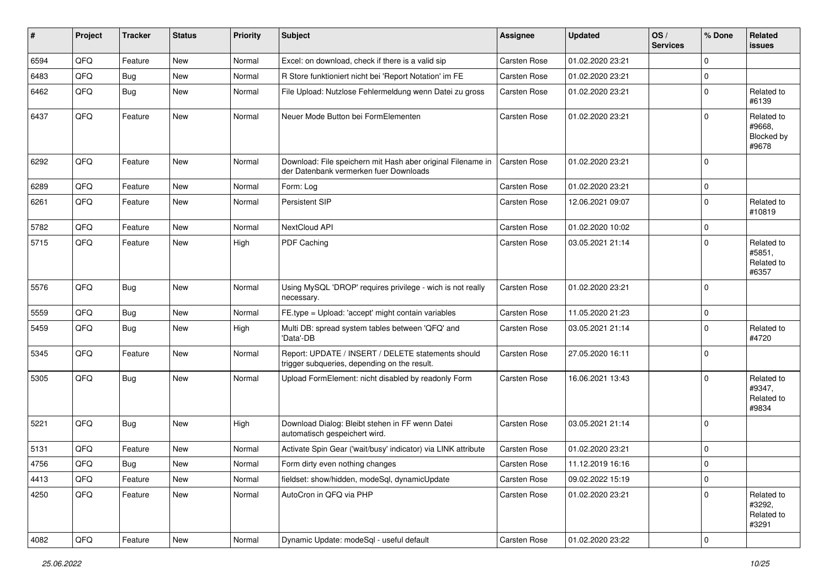| #    | Project        | <b>Tracker</b> | <b>Status</b> | <b>Priority</b> | <b>Subject</b>                                                                                        | <b>Assignee</b>     | <b>Updated</b>   | OS/<br><b>Services</b> | % Done      | Related<br>issues                           |
|------|----------------|----------------|---------------|-----------------|-------------------------------------------------------------------------------------------------------|---------------------|------------------|------------------------|-------------|---------------------------------------------|
| 6594 | QFQ            | Feature        | <b>New</b>    | Normal          | Excel: on download, check if there is a valid sip                                                     | <b>Carsten Rose</b> | 01.02.2020 23:21 |                        | $\mathbf 0$ |                                             |
| 6483 | QFQ            | Bug            | New           | Normal          | R Store funktioniert nicht bei 'Report Notation' im FE                                                | Carsten Rose        | 01.02.2020 23:21 |                        | $\mathbf 0$ |                                             |
| 6462 | QFQ            | Bug            | New           | Normal          | File Upload: Nutzlose Fehlermeldung wenn Datei zu gross                                               | Carsten Rose        | 01.02.2020 23:21 |                        | $\mathbf 0$ | Related to<br>#6139                         |
| 6437 | QFQ            | Feature        | New           | Normal          | Neuer Mode Button bei FormElementen                                                                   | Carsten Rose        | 01.02.2020 23:21 |                        | $\Omega$    | Related to<br>#9668,<br>Blocked by<br>#9678 |
| 6292 | QFQ            | Feature        | <b>New</b>    | Normal          | Download: File speichern mit Hash aber original Filename in<br>der Datenbank vermerken fuer Downloads | <b>Carsten Rose</b> | 01.02.2020 23:21 |                        | $\Omega$    |                                             |
| 6289 | QFQ            | Feature        | New           | Normal          | Form: Log                                                                                             | Carsten Rose        | 01.02.2020 23:21 |                        | $\Omega$    |                                             |
| 6261 | QFQ            | Feature        | <b>New</b>    | Normal          | Persistent SIP                                                                                        | <b>Carsten Rose</b> | 12.06.2021 09:07 |                        | $\Omega$    | Related to<br>#10819                        |
| 5782 | QFQ            | Feature        | New           | Normal          | NextCloud API                                                                                         | <b>Carsten Rose</b> | 01.02.2020 10:02 |                        | $\mathbf 0$ |                                             |
| 5715 | QFQ            | Feature        | New           | High            | PDF Caching                                                                                           | Carsten Rose        | 03.05.2021 21:14 |                        | $\Omega$    | Related to<br>#5851.<br>Related to<br>#6357 |
| 5576 | QFQ            | Bug            | <b>New</b>    | Normal          | Using MySQL 'DROP' requires privilege - wich is not really<br>necessary.                              | Carsten Rose        | 01.02.2020 23:21 |                        | $\Omega$    |                                             |
| 5559 | QFQ            | Bug            | New           | Normal          | FE.type = Upload: 'accept' might contain variables                                                    | <b>Carsten Rose</b> | 11.05.2020 21:23 |                        | 0           |                                             |
| 5459 | QFQ            | Bug            | New           | High            | Multi DB: spread system tables between 'QFQ' and<br>'Data'-DB                                         | Carsten Rose        | 03.05.2021 21:14 |                        | 0           | Related to<br>#4720                         |
| 5345 | QFQ            | Feature        | New           | Normal          | Report: UPDATE / INSERT / DELETE statements should<br>trigger subqueries, depending on the result.    | Carsten Rose        | 27.05.2020 16:11 |                        | $\mathbf 0$ |                                             |
| 5305 | QFQ            | <b>Bug</b>     | <b>New</b>    | Normal          | Upload FormElement: nicht disabled by readonly Form                                                   | <b>Carsten Rose</b> | 16.06.2021 13:43 |                        | $\Omega$    | Related to<br>#9347,<br>Related to<br>#9834 |
| 5221 | QFQ            | Bug            | <b>New</b>    | High            | Download Dialog: Bleibt stehen in FF wenn Datei<br>automatisch gespeichert wird.                      | Carsten Rose        | 03.05.2021 21:14 |                        | $\Omega$    |                                             |
| 5131 | QFQ            | Feature        | <b>New</b>    | Normal          | Activate Spin Gear ('wait/busy' indicator) via LINK attribute                                         | Carsten Rose        | 01.02.2020 23:21 |                        | 0           |                                             |
| 4756 | QFQ            | Bug            | New           | Normal          | Form dirty even nothing changes                                                                       | <b>Carsten Rose</b> | 11.12.2019 16:16 |                        | $\Omega$    |                                             |
| 4413 | QFQ            | Feature        | New           | Normal          | fieldset: show/hidden, modeSql, dynamicUpdate                                                         | Carsten Rose        | 09.02.2022 15:19 |                        | 0           |                                             |
| 4250 | QFQ            | Feature        | New           | Normal          | AutoCron in QFQ via PHP                                                                               | Carsten Rose        | 01.02.2020 23:21 |                        | 0           | Related to<br>#3292,<br>Related to<br>#3291 |
| 4082 | $\mathsf{QFQ}$ | Feature        | New           | Normal          | Dynamic Update: modeSql - useful default                                                              | Carsten Rose        | 01.02.2020 23:22 |                        | $\pmb{0}$   |                                             |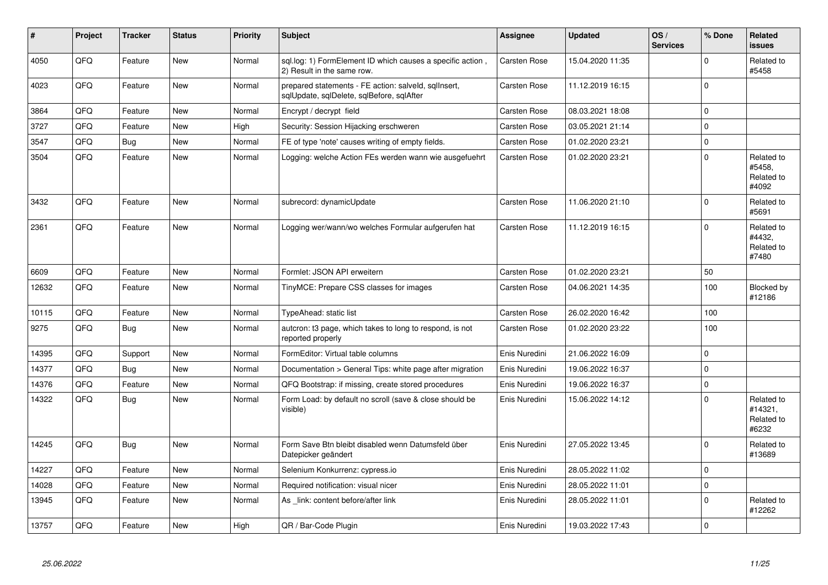| #     | Project | <b>Tracker</b> | <b>Status</b> | <b>Priority</b> | <b>Subject</b>                                                                                    | <b>Assignee</b>     | <b>Updated</b>   | OS/<br><b>Services</b> | % Done      | <b>Related</b><br><b>issues</b>              |
|-------|---------|----------------|---------------|-----------------|---------------------------------------------------------------------------------------------------|---------------------|------------------|------------------------|-------------|----------------------------------------------|
| 4050  | QFQ     | Feature        | <b>New</b>    | Normal          | sql.log: 1) FormElement ID which causes a specific action,<br>2) Result in the same row.          | Carsten Rose        | 15.04.2020 11:35 |                        | $\Omega$    | Related to<br>#5458                          |
| 4023  | QFQ     | Feature        | <b>New</b>    | Normal          | prepared statements - FE action: salveld, sqlInsert,<br>sqlUpdate, sqlDelete, sqlBefore, sqlAfter | <b>Carsten Rose</b> | 11.12.2019 16:15 |                        | $\Omega$    |                                              |
| 3864  | QFQ     | Feature        | <b>New</b>    | Normal          | Encrypt / decrypt field                                                                           | <b>Carsten Rose</b> | 08.03.2021 18:08 |                        | $\Omega$    |                                              |
| 3727  | QFQ     | Feature        | <b>New</b>    | High            | Security: Session Hijacking erschweren                                                            | <b>Carsten Rose</b> | 03.05.2021 21:14 |                        | $\Omega$    |                                              |
| 3547  | QFQ     | <b>Bug</b>     | New           | Normal          | FE of type 'note' causes writing of empty fields.                                                 | Carsten Rose        | 01.02.2020 23:21 |                        | 0           |                                              |
| 3504  | QFQ     | Feature        | <b>New</b>    | Normal          | Logging: welche Action FEs werden wann wie ausgefuehrt                                            | <b>Carsten Rose</b> | 01.02.2020 23:21 |                        | $\mathbf 0$ | Related to<br>#5458.<br>Related to<br>#4092  |
| 3432  | QFQ     | Feature        | <b>New</b>    | Normal          | subrecord: dynamicUpdate                                                                          | Carsten Rose        | 11.06.2020 21:10 |                        | $\Omega$    | Related to<br>#5691                          |
| 2361  | QFQ     | Feature        | <b>New</b>    | Normal          | Logging wer/wann/wo welches Formular aufgerufen hat                                               | <b>Carsten Rose</b> | 11.12.2019 16:15 |                        | $\Omega$    | Related to<br>#4432,<br>Related to<br>#7480  |
| 6609  | QFQ     | Feature        | <b>New</b>    | Normal          | Formlet: JSON API erweitern                                                                       | <b>Carsten Rose</b> | 01.02.2020 23:21 |                        | 50          |                                              |
| 12632 | QFQ     | Feature        | <b>New</b>    | Normal          | TinyMCE: Prepare CSS classes for images                                                           | <b>Carsten Rose</b> | 04.06.2021 14:35 |                        | 100         | Blocked by<br>#12186                         |
| 10115 | QFQ     | Feature        | <b>New</b>    | Normal          | TypeAhead: static list                                                                            | <b>Carsten Rose</b> | 26.02.2020 16:42 |                        | 100         |                                              |
| 9275  | QFQ     | Bug            | <b>New</b>    | Normal          | autcron: t3 page, which takes to long to respond, is not<br>reported properly                     | Carsten Rose        | 01.02.2020 23:22 |                        | 100         |                                              |
| 14395 | QFQ     | Support        | <b>New</b>    | Normal          | FormEditor: Virtual table columns                                                                 | Enis Nuredini       | 21.06.2022 16:09 |                        | 0           |                                              |
| 14377 | QFQ     | <b>Bug</b>     | <b>New</b>    | Normal          | Documentation > General Tips: white page after migration                                          | Enis Nuredini       | 19.06.2022 16:37 |                        | 0           |                                              |
| 14376 | QFQ     | Feature        | New           | Normal          | QFQ Bootstrap: if missing, create stored procedures                                               | Enis Nuredini       | 19.06.2022 16:37 |                        | $\mathbf 0$ |                                              |
| 14322 | QFQ     | <b>Bug</b>     | <b>New</b>    | Normal          | Form Load: by default no scroll (save & close should be<br>visible)                               | Enis Nuredini       | 15.06.2022 14:12 |                        | $\Omega$    | Related to<br>#14321,<br>Related to<br>#6232 |
| 14245 | QFQ     | <b>Bug</b>     | New           | Normal          | Form Save Btn bleibt disabled wenn Datumsfeld über<br>Datepicker geändert                         | Enis Nuredini       | 27.05.2022 13:45 |                        | $\mathbf 0$ | Related to<br>#13689                         |
| 14227 | QFQ     | Feature        | New           | Normal          | Selenium Konkurrenz: cypress.io                                                                   | Enis Nuredini       | 28.05.2022 11:02 |                        | 0           |                                              |
| 14028 | QFQ     | Feature        | <b>New</b>    | Normal          | Required notification: visual nicer                                                               | Enis Nuredini       | 28.05.2022 11:01 |                        | $\mathbf 0$ |                                              |
| 13945 | QFQ     | Feature        | <b>New</b>    | Normal          | As _link: content before/after link                                                               | Enis Nuredini       | 28.05.2022 11:01 |                        | $\Omega$    | Related to<br>#12262                         |
| 13757 | QFQ     | Feature        | New           | High            | QR / Bar-Code Plugin                                                                              | Enis Nuredini       | 19.03.2022 17:43 |                        | $\mathbf 0$ |                                              |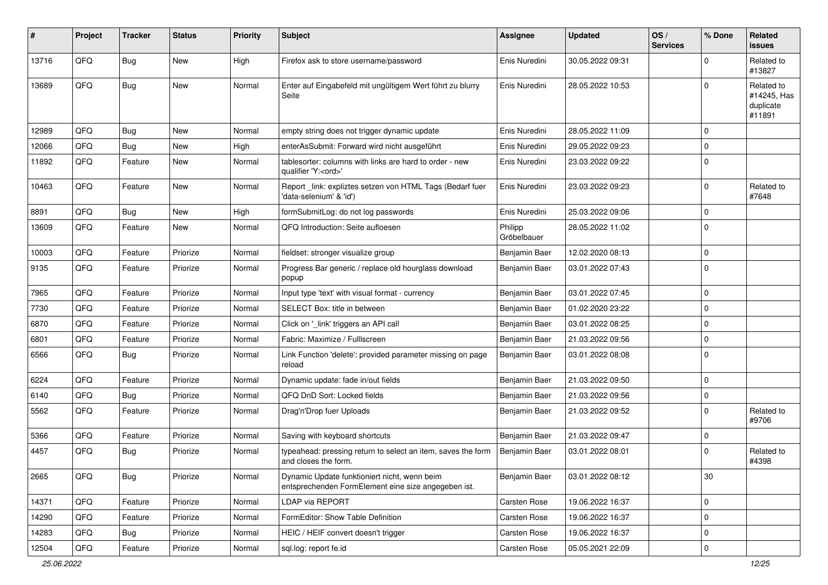| #     | Project | <b>Tracker</b> | <b>Status</b> | <b>Priority</b> | <b>Subject</b>                                                                                      | <b>Assignee</b>        | <b>Updated</b>   | OS/<br><b>Services</b> | % Done      | Related<br><b>issues</b>                         |
|-------|---------|----------------|---------------|-----------------|-----------------------------------------------------------------------------------------------------|------------------------|------------------|------------------------|-------------|--------------------------------------------------|
| 13716 | QFQ     | Bug            | New           | High            | Firefox ask to store username/password                                                              | Enis Nuredini          | 30.05.2022 09:31 |                        | $\Omega$    | Related to<br>#13827                             |
| 13689 | QFQ     | Bug            | New           | Normal          | Enter auf Eingabefeld mit ungültigem Wert führt zu blurry<br>Seite                                  | Enis Nuredini          | 28.05.2022 10:53 |                        | $\Omega$    | Related to<br>#14245, Has<br>duplicate<br>#11891 |
| 12989 | QFQ     | <b>Bug</b>     | <b>New</b>    | Normal          | empty string does not trigger dynamic update                                                        | Enis Nuredini          | 28.05.2022 11:09 |                        | $\mathbf 0$ |                                                  |
| 12066 | QFQ     | Bug            | New           | High            | enterAsSubmit: Forward wird nicht ausgeführt                                                        | Enis Nuredini          | 29.05.2022 09:23 |                        | $\mathbf 0$ |                                                  |
| 11892 | QFQ     | Feature        | New           | Normal          | tablesorter: columns with links are hard to order - new<br>qualifier 'Y: <ord>'</ord>               | Enis Nuredini          | 23.03.2022 09:22 |                        | $\Omega$    |                                                  |
| 10463 | QFQ     | Feature        | New           | Normal          | Report_link: expliztes setzen von HTML Tags (Bedarf fuer<br>'data-selenium' & 'id')                 | Enis Nuredini          | 23.03.2022 09:23 |                        | $\Omega$    | Related to<br>#7648                              |
| 8891  | QFQ     | <b>Bug</b>     | <b>New</b>    | High            | formSubmitLog: do not log passwords                                                                 | Enis Nuredini          | 25.03.2022 09:06 |                        | $\mathbf 0$ |                                                  |
| 13609 | QFQ     | Feature        | New           | Normal          | QFQ Introduction: Seite aufloesen                                                                   | Philipp<br>Gröbelbauer | 28.05.2022 11:02 |                        | $\Omega$    |                                                  |
| 10003 | QFQ     | Feature        | Priorize      | Normal          | fieldset: stronger visualize group                                                                  | Benjamin Baer          | 12.02.2020 08:13 |                        | $\mathbf 0$ |                                                  |
| 9135  | QFQ     | Feature        | Priorize      | Normal          | Progress Bar generic / replace old hourglass download<br>popup                                      | Benjamin Baer          | 03.01.2022 07:43 |                        | $\Omega$    |                                                  |
| 7965  | QFQ     | Feature        | Priorize      | Normal          | Input type 'text' with visual format - currency                                                     | Benjamin Baer          | 03.01.2022 07:45 |                        | $\mathbf 0$ |                                                  |
| 7730  | QFQ     | Feature        | Priorize      | Normal          | SELECT Box: title in between                                                                        | Benjamin Baer          | 01.02.2020 23:22 |                        | $\mathbf 0$ |                                                  |
| 6870  | QFQ     | Feature        | Priorize      | Normal          | Click on '_link' triggers an API call                                                               | Benjamin Baer          | 03.01.2022 08:25 |                        | 0           |                                                  |
| 6801  | QFQ     | Feature        | Priorize      | Normal          | Fabric: Maximize / FullIscreen                                                                      | Benjamin Baer          | 21.03.2022 09:56 |                        | $\mathbf 0$ |                                                  |
| 6566  | QFQ     | Bug            | Priorize      | Normal          | Link Function 'delete': provided parameter missing on page<br>reload                                | Benjamin Baer          | 03.01.2022 08:08 |                        | $\mathbf 0$ |                                                  |
| 6224  | QFQ     | Feature        | Priorize      | Normal          | Dynamic update: fade in/out fields                                                                  | Benjamin Baer          | 21.03.2022 09:50 |                        | $\mathbf 0$ |                                                  |
| 6140  | QFQ     | <b>Bug</b>     | Priorize      | Normal          | QFQ DnD Sort: Locked fields                                                                         | Benjamin Baer          | 21.03.2022 09:56 |                        | $\pmb{0}$   |                                                  |
| 5562  | QFQ     | Feature        | Priorize      | Normal          | Drag'n'Drop fuer Uploads                                                                            | Benjamin Baer          | 21.03.2022 09:52 |                        | $\Omega$    | Related to<br>#9706                              |
| 5366  | QFQ     | Feature        | Priorize      | Normal          | Saving with keyboard shortcuts                                                                      | Benjamin Baer          | 21.03.2022 09:47 |                        | 0           |                                                  |
| 4457  | QFQ     | Bug            | Priorize      | Normal          | typeahead: pressing return to select an item, saves the form<br>and closes the form.                | Benjamin Baer          | 03.01.2022 08:01 |                        | $\Omega$    | Related to<br>#4398                              |
| 2665  | QFQ     | <b>Bug</b>     | Priorize      | Normal          | Dynamic Update funktioniert nicht, wenn beim<br>entsprechenden FormElement eine size angegeben ist. | Benjamin Baer          | 03.01.2022 08:12 |                        | $30\,$      |                                                  |
| 14371 | QFQ     | Feature        | Priorize      | Normal          | LDAP via REPORT                                                                                     | Carsten Rose           | 19.06.2022 16:37 |                        | $\mathbf 0$ |                                                  |
| 14290 | QFQ     | Feature        | Priorize      | Normal          | FormEditor: Show Table Definition                                                                   | Carsten Rose           | 19.06.2022 16:37 |                        | $\pmb{0}$   |                                                  |
| 14283 | QFQ     | <b>Bug</b>     | Priorize      | Normal          | HEIC / HEIF convert doesn't trigger                                                                 | Carsten Rose           | 19.06.2022 16:37 |                        | $\mathbf 0$ |                                                  |
| 12504 | QFQ     | Feature        | Priorize      | Normal          | sql.log: report fe.id                                                                               | Carsten Rose           | 05.05.2021 22:09 |                        | $\pmb{0}$   |                                                  |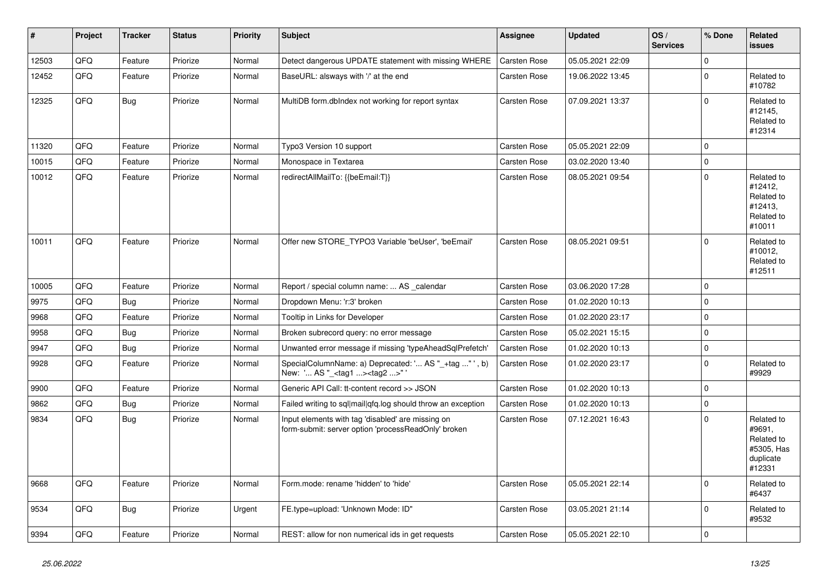| #     | <b>Project</b> | <b>Tracker</b> | <b>Status</b> | Priority | <b>Subject</b>                                                                                           | Assignee            | <b>Updated</b>   | OS/<br><b>Services</b> | % Done      | Related<br>issues                                                       |
|-------|----------------|----------------|---------------|----------|----------------------------------------------------------------------------------------------------------|---------------------|------------------|------------------------|-------------|-------------------------------------------------------------------------|
| 12503 | QFQ            | Feature        | Priorize      | Normal   | Detect dangerous UPDATE statement with missing WHERE                                                     | Carsten Rose        | 05.05.2021 22:09 |                        | $\mathbf 0$ |                                                                         |
| 12452 | QFQ            | Feature        | Priorize      | Normal   | BaseURL: alsways with '/' at the end                                                                     | Carsten Rose        | 19.06.2022 13:45 |                        | $\mathbf 0$ | Related to<br>#10782                                                    |
| 12325 | QFQ            | Bug            | Priorize      | Normal   | MultiDB form.dblndex not working for report syntax                                                       | <b>Carsten Rose</b> | 07.09.2021 13:37 |                        | $\Omega$    | Related to<br>#12145,<br>Related to<br>#12314                           |
| 11320 | QFQ            | Feature        | Priorize      | Normal   | Typo3 Version 10 support                                                                                 | Carsten Rose        | 05.05.2021 22:09 |                        | $\Omega$    |                                                                         |
| 10015 | QFQ            | Feature        | Priorize      | Normal   | Monospace in Textarea                                                                                    | <b>Carsten Rose</b> | 03.02.2020 13:40 |                        | $\mathbf 0$ |                                                                         |
| 10012 | QFQ            | Feature        | Priorize      | Normal   | redirectAllMailTo: {{beEmail:T}}                                                                         | <b>Carsten Rose</b> | 08.05.2021 09:54 |                        | $\Omega$    | Related to<br>#12412,<br>Related to<br>#12413,<br>Related to<br>#10011  |
| 10011 | QFQ            | Feature        | Priorize      | Normal   | Offer new STORE_TYPO3 Variable 'beUser', 'beEmail'                                                       | Carsten Rose        | 08.05.2021 09:51 |                        | $\Omega$    | Related to<br>#10012,<br>Related to<br>#12511                           |
| 10005 | QFQ            | Feature        | Priorize      | Normal   | Report / special column name:  AS calendar                                                               | <b>Carsten Rose</b> | 03.06.2020 17:28 |                        | $\Omega$    |                                                                         |
| 9975  | QFQ            | Bug            | Priorize      | Normal   | Dropdown Menu: 'r:3' broken                                                                              | <b>Carsten Rose</b> | 01.02.2020 10:13 |                        | $\mathbf 0$ |                                                                         |
| 9968  | QFQ            | Feature        | Priorize      | Normal   | Tooltip in Links for Developer                                                                           | Carsten Rose        | 01.02.2020 23:17 |                        | $\mathbf 0$ |                                                                         |
| 9958  | QFQ            | <b>Bug</b>     | Priorize      | Normal   | Broken subrecord query: no error message                                                                 | Carsten Rose        | 05.02.2021 15:15 |                        | 0           |                                                                         |
| 9947  | QFQ            | <b>Bug</b>     | Priorize      | Normal   | Unwanted error message if missing 'typeAheadSqlPrefetch'                                                 | Carsten Rose        | 01.02.2020 10:13 |                        | $\mathbf 0$ |                                                                         |
| 9928  | QFQ            | Feature        | Priorize      | Normal   | SpecialColumnName: a) Deprecated: ' AS "_+tag " ', b)<br>New: ' AS "_ <tag1><tag2>" '</tag2></tag1>      | Carsten Rose        | 01.02.2020 23:17 |                        | $\mathbf 0$ | Related to<br>#9929                                                     |
| 9900  | QFQ            | Feature        | Priorize      | Normal   | Generic API Call: tt-content record >> JSON                                                              | <b>Carsten Rose</b> | 01.02.2020 10:13 |                        | $\Omega$    |                                                                         |
| 9862  | QFQ            | <b>Bug</b>     | Priorize      | Normal   | Failed writing to sql mail qfq.log should throw an exception                                             | <b>Carsten Rose</b> | 01.02.2020 10:13 |                        | $\Omega$    |                                                                         |
| 9834  | QFQ            | Bug            | Priorize      | Normal   | Input elements with tag 'disabled' are missing on<br>form-submit: server option 'processReadOnly' broken | <b>Carsten Rose</b> | 07.12.2021 16:43 |                        | $\Omega$    | Related to<br>#9691,<br>Related to<br>#5305, Has<br>duplicate<br>#12331 |
| 9668  | QFQ            | Feature        | Priorize      | Normal   | Form.mode: rename 'hidden' to 'hide'                                                                     | Carsten Rose        | 05.05.2021 22:14 |                        | $\Omega$    | Related to<br>#6437                                                     |
| 9534  | QFQ            | Bug            | Priorize      | Urgent   | FE.type=upload: 'Unknown Mode: ID"                                                                       | Carsten Rose        | 03.05.2021 21:14 |                        | $\Omega$    | Related to<br>#9532                                                     |
| 9394  | QFQ            | Feature        | Priorize      | Normal   | REST: allow for non numerical ids in get requests                                                        | <b>Carsten Rose</b> | 05.05.2021 22:10 |                        | $\Omega$    |                                                                         |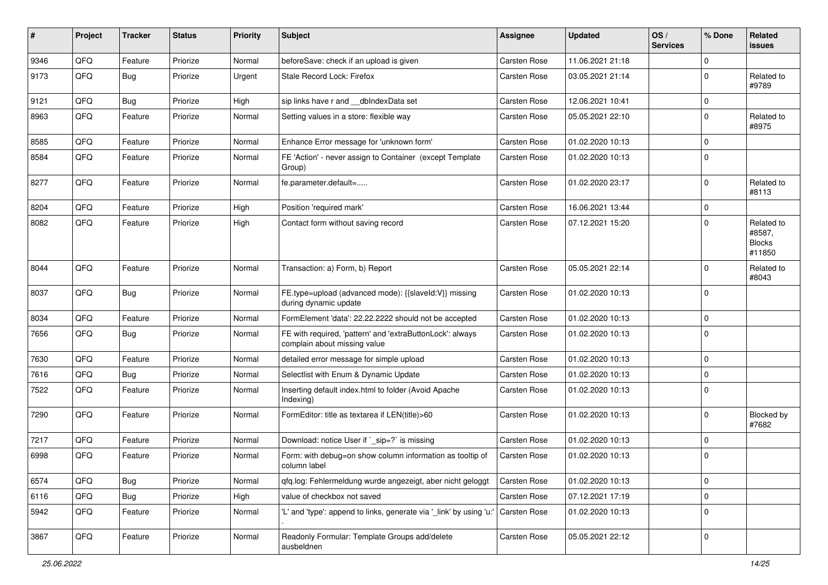| #    | Project | <b>Tracker</b> | <b>Status</b> | <b>Priority</b> | <b>Subject</b>                                                                            | Assignee            | <b>Updated</b>   | OS/<br><b>Services</b> | % Done      | Related<br><b>issues</b>                        |
|------|---------|----------------|---------------|-----------------|-------------------------------------------------------------------------------------------|---------------------|------------------|------------------------|-------------|-------------------------------------------------|
| 9346 | QFQ     | Feature        | Priorize      | Normal          | beforeSave: check if an upload is given                                                   | Carsten Rose        | 11.06.2021 21:18 |                        | $\Omega$    |                                                 |
| 9173 | QFQ     | Bug            | Priorize      | Urgent          | Stale Record Lock: Firefox                                                                | <b>Carsten Rose</b> | 03.05.2021 21:14 |                        | $\Omega$    | Related to<br>#9789                             |
| 9121 | QFQ     | Bug            | Priorize      | High            | sip links have r and __dbIndexData set                                                    | <b>Carsten Rose</b> | 12.06.2021 10:41 |                        | $\mathbf 0$ |                                                 |
| 8963 | QFQ     | Feature        | Priorize      | Normal          | Setting values in a store: flexible way                                                   | <b>Carsten Rose</b> | 05.05.2021 22:10 |                        | $\Omega$    | Related to<br>#8975                             |
| 8585 | QFQ     | Feature        | Priorize      | Normal          | Enhance Error message for 'unknown form'                                                  | <b>Carsten Rose</b> | 01.02.2020 10:13 |                        | $\mathbf 0$ |                                                 |
| 8584 | QFQ     | Feature        | Priorize      | Normal          | FE 'Action' - never assign to Container (except Template<br>Group)                        | Carsten Rose        | 01.02.2020 10:13 |                        | $\Omega$    |                                                 |
| 8277 | QFQ     | Feature        | Priorize      | Normal          | fe.parameter.default=                                                                     | Carsten Rose        | 01.02.2020 23:17 |                        | $\mathbf 0$ | Related to<br>#8113                             |
| 8204 | QFQ     | Feature        | Priorize      | High            | Position 'required mark'                                                                  | Carsten Rose        | 16.06.2021 13:44 |                        | $\Omega$    |                                                 |
| 8082 | QFQ     | Feature        | Priorize      | High            | Contact form without saving record                                                        | Carsten Rose        | 07.12.2021 15:20 |                        | $\Omega$    | Related to<br>#8587,<br><b>Blocks</b><br>#11850 |
| 8044 | QFQ     | Feature        | Priorize      | Normal          | Transaction: a) Form, b) Report                                                           | Carsten Rose        | 05.05.2021 22:14 |                        | $\Omega$    | Related to<br>#8043                             |
| 8037 | QFQ     | <b>Bug</b>     | Priorize      | Normal          | FE.type=upload (advanced mode): {{slaveld:V}} missing<br>during dynamic update            | Carsten Rose        | 01.02.2020 10:13 |                        | $\Omega$    |                                                 |
| 8034 | QFQ     | Feature        | Priorize      | Normal          | FormElement 'data': 22.22.2222 should not be accepted                                     | <b>Carsten Rose</b> | 01.02.2020 10:13 |                        | $\mathbf 0$ |                                                 |
| 7656 | QFQ     | Bug            | Priorize      | Normal          | FE with required, 'pattern' and 'extraButtonLock': always<br>complain about missing value | Carsten Rose        | 01.02.2020 10:13 |                        | $\Omega$    |                                                 |
| 7630 | QFQ     | Feature        | Priorize      | Normal          | detailed error message for simple upload                                                  | <b>Carsten Rose</b> | 01.02.2020 10:13 |                        | $\mathbf 0$ |                                                 |
| 7616 | QFQ     | Bug            | Priorize      | Normal          | Selectlist with Enum & Dynamic Update                                                     | Carsten Rose        | 01.02.2020 10:13 |                        | $\Omega$    |                                                 |
| 7522 | QFQ     | Feature        | Priorize      | Normal          | Inserting default index.html to folder (Avoid Apache<br>Indexing)                         | Carsten Rose        | 01.02.2020 10:13 |                        | $\Omega$    |                                                 |
| 7290 | QFQ     | Feature        | Priorize      | Normal          | FormEditor: title as textarea if LEN(title)>60                                            | Carsten Rose        | 01.02.2020 10:13 |                        | $\mathbf 0$ | Blocked by<br>#7682                             |
| 7217 | QFQ     | Feature        | Priorize      | Normal          | Download: notice User if `_sip=?` is missing                                              | Carsten Rose        | 01.02.2020 10:13 |                        | $\Omega$    |                                                 |
| 6998 | QFQ     | Feature        | Priorize      | Normal          | Form: with debug=on show column information as tooltip of<br>column label                 | <b>Carsten Rose</b> | 01.02.2020 10:13 |                        | $\Omega$    |                                                 |
| 6574 | QFQ     | <b>Bug</b>     | Priorize      | Normal          | qfq.log: Fehlermeldung wurde angezeigt, aber nicht geloggt                                | Carsten Rose        | 01.02.2020 10:13 |                        | $\pmb{0}$   |                                                 |
| 6116 | QFQ     | <b>Bug</b>     | Priorize      | High            | value of checkbox not saved                                                               | Carsten Rose        | 07.12.2021 17:19 |                        | 0           |                                                 |
| 5942 | QFQ     | Feature        | Priorize      | Normal          | 'L' and 'type': append to links, generate via '_link' by using 'u:'                       | Carsten Rose        | 01.02.2020 10:13 |                        | $\mathbf 0$ |                                                 |
| 3867 | QFQ     | Feature        | Priorize      | Normal          | Readonly Formular: Template Groups add/delete<br>ausbeldnen                               | Carsten Rose        | 05.05.2021 22:12 |                        | $\mathbf 0$ |                                                 |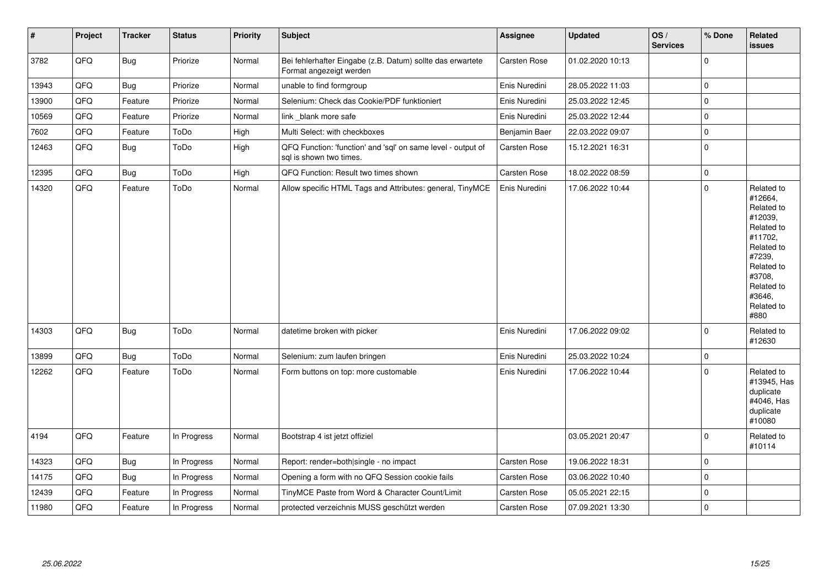| $\vert$ # | Project | <b>Tracker</b> | <b>Status</b> | <b>Priority</b> | <b>Subject</b>                                                                          | <b>Assignee</b> | <b>Updated</b>   | OS/<br><b>Services</b> | % Done      | Related<br><b>issues</b>                                                                                                                                              |
|-----------|---------|----------------|---------------|-----------------|-----------------------------------------------------------------------------------------|-----------------|------------------|------------------------|-------------|-----------------------------------------------------------------------------------------------------------------------------------------------------------------------|
| 3782      | QFQ     | <b>Bug</b>     | Priorize      | Normal          | Bei fehlerhafter Eingabe (z.B. Datum) sollte das erwartete<br>Format angezeigt werden   | Carsten Rose    | 01.02.2020 10:13 |                        | $\mathbf 0$ |                                                                                                                                                                       |
| 13943     | QFQ     | <b>Bug</b>     | Priorize      | Normal          | unable to find formgroup                                                                | Enis Nuredini   | 28.05.2022 11:03 |                        | $\mathbf 0$ |                                                                                                                                                                       |
| 13900     | QFQ     | Feature        | Priorize      | Normal          | Selenium: Check das Cookie/PDF funktioniert                                             | Enis Nuredini   | 25.03.2022 12:45 |                        | $\pmb{0}$   |                                                                                                                                                                       |
| 10569     | QFQ     | Feature        | Priorize      | Normal          | link blank more safe                                                                    | Enis Nuredini   | 25.03.2022 12:44 |                        | $\pmb{0}$   |                                                                                                                                                                       |
| 7602      | QFQ     | Feature        | ToDo          | High            | Multi Select: with checkboxes                                                           | Benjamin Baer   | 22.03.2022 09:07 |                        | $\pmb{0}$   |                                                                                                                                                                       |
| 12463     | QFQ     | Bug            | ToDo          | High            | QFQ Function: 'function' and 'sql' on same level - output of<br>sql is shown two times. | Carsten Rose    | 15.12.2021 16:31 |                        | $\pmb{0}$   |                                                                                                                                                                       |
| 12395     | QFQ     | Bug            | ToDo          | High            | QFQ Function: Result two times shown                                                    | Carsten Rose    | 18.02.2022 08:59 |                        | $\mathbf 0$ |                                                                                                                                                                       |
| 14320     | QFQ     | Feature        | ToDo          | Normal          | Allow specific HTML Tags and Attributes: general, TinyMCE                               | Enis Nuredini   | 17.06.2022 10:44 |                        | $\mathbf 0$ | Related to<br>#12664,<br>Related to<br>#12039,<br>Related to<br>#11702.<br>Related to<br>#7239,<br>Related to<br>#3708,<br>Related to<br>#3646,<br>Related to<br>#880 |
| 14303     | QFQ     | Bug            | ToDo          | Normal          | datetime broken with picker                                                             | Enis Nuredini   | 17.06.2022 09:02 |                        | $\mathbf 0$ | Related to<br>#12630                                                                                                                                                  |
| 13899     | QFQ     | Bug            | ToDo          | Normal          | Selenium: zum laufen bringen                                                            | Enis Nuredini   | 25.03.2022 10:24 |                        | $\pmb{0}$   |                                                                                                                                                                       |
| 12262     | QFQ     | Feature        | ToDo          | Normal          | Form buttons on top: more customable                                                    | Enis Nuredini   | 17.06.2022 10:44 |                        | $\Omega$    | Related to<br>#13945, Has<br>duplicate<br>#4046, Has<br>duplicate<br>#10080                                                                                           |
| 4194      | QFQ     | Feature        | In Progress   | Normal          | Bootstrap 4 ist jetzt offiziel                                                          |                 | 03.05.2021 20:47 |                        | $\pmb{0}$   | Related to<br>#10114                                                                                                                                                  |
| 14323     | QFQ     | Bug            | In Progress   | Normal          | Report: render=both single - no impact                                                  | Carsten Rose    | 19.06.2022 18:31 |                        | $\pmb{0}$   |                                                                                                                                                                       |
| 14175     | QFQ     | Bug            | In Progress   | Normal          | Opening a form with no QFQ Session cookie fails                                         | Carsten Rose    | 03.06.2022 10:40 |                        | $\mathbf 0$ |                                                                                                                                                                       |
| 12439     | QFQ     | Feature        | In Progress   | Normal          | TinyMCE Paste from Word & Character Count/Limit                                         | Carsten Rose    | 05.05.2021 22:15 |                        | $\pmb{0}$   |                                                                                                                                                                       |
| 11980     | QFQ     | Feature        | In Progress   | Normal          | protected verzeichnis MUSS geschützt werden                                             | Carsten Rose    | 07.09.2021 13:30 |                        | $\pmb{0}$   |                                                                                                                                                                       |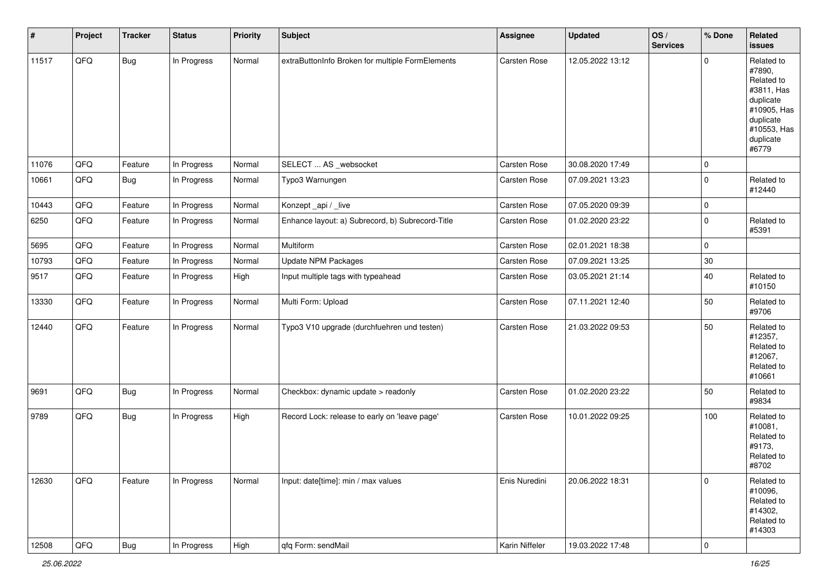| #     | Project | <b>Tracker</b> | <b>Status</b> | Priority | <b>Subject</b>                                   | <b>Assignee</b>     | <b>Updated</b>   | OS/<br><b>Services</b> | % Done      | Related<br><b>issues</b>                                                                                                       |
|-------|---------|----------------|---------------|----------|--------------------------------------------------|---------------------|------------------|------------------------|-------------|--------------------------------------------------------------------------------------------------------------------------------|
| 11517 | QFQ     | Bug            | In Progress   | Normal   | extraButtonInfo Broken for multiple FormElements | Carsten Rose        | 12.05.2022 13:12 |                        | $\Omega$    | Related to<br>#7890,<br>Related to<br>#3811, Has<br>duplicate<br>#10905, Has<br>duplicate<br>#10553, Has<br>duplicate<br>#6779 |
| 11076 | QFQ     | Feature        | In Progress   | Normal   | SELECT  AS _websocket                            | <b>Carsten Rose</b> | 30.08.2020 17:49 |                        | 0           |                                                                                                                                |
| 10661 | QFQ     | <b>Bug</b>     | In Progress   | Normal   | Typo3 Warnungen                                  | Carsten Rose        | 07.09.2021 13:23 |                        | $\mathbf 0$ | Related to<br>#12440                                                                                                           |
| 10443 | QFQ     | Feature        | In Progress   | Normal   | Konzept_api / _live                              | Carsten Rose        | 07.05.2020 09:39 |                        | 0           |                                                                                                                                |
| 6250  | QFQ     | Feature        | In Progress   | Normal   | Enhance layout: a) Subrecord, b) Subrecord-Title | <b>Carsten Rose</b> | 01.02.2020 23:22 |                        | $\Omega$    | Related to<br>#5391                                                                                                            |
| 5695  | QFQ     | Feature        | In Progress   | Normal   | Multiform                                        | Carsten Rose        | 02.01.2021 18:38 |                        | 0           |                                                                                                                                |
| 10793 | QFQ     | Feature        | In Progress   | Normal   | <b>Update NPM Packages</b>                       | Carsten Rose        | 07.09.2021 13:25 |                        | $30\,$      |                                                                                                                                |
| 9517  | QFQ     | Feature        | In Progress   | High     | Input multiple tags with typeahead               | Carsten Rose        | 03.05.2021 21:14 |                        | 40          | Related to<br>#10150                                                                                                           |
| 13330 | QFQ     | Feature        | In Progress   | Normal   | Multi Form: Upload                               | Carsten Rose        | 07.11.2021 12:40 |                        | 50          | Related to<br>#9706                                                                                                            |
| 12440 | QFQ     | Feature        | In Progress   | Normal   | Typo3 V10 upgrade (durchfuehren und testen)      | Carsten Rose        | 21.03.2022 09:53 |                        | 50          | Related to<br>#12357,<br>Related to<br>#12067,<br>Related to<br>#10661                                                         |
| 9691  | QFQ     | Bug            | In Progress   | Normal   | Checkbox: dynamic update > readonly              | <b>Carsten Rose</b> | 01.02.2020 23:22 |                        | 50          | Related to<br>#9834                                                                                                            |
| 9789  | QFQ     | Bug            | In Progress   | High     | Record Lock: release to early on 'leave page'    | Carsten Rose        | 10.01.2022 09:25 |                        | 100         | Related to<br>#10081,<br>Related to<br>#9173,<br>Related to<br>#8702                                                           |
| 12630 | QFQ     | Feature        | In Progress   | Normal   | Input: date[time]: min / max values              | Enis Nuredini       | 20.06.2022 18:31 |                        | $\mathbf 0$ | Related to<br>#10096,<br>Related to<br>#14302,<br>Related to<br>#14303                                                         |
| 12508 | QFG     | Bug            | In Progress   | High     | qfq Form: sendMail                               | Karin Niffeler      | 19.03.2022 17:48 |                        | $\pmb{0}$   |                                                                                                                                |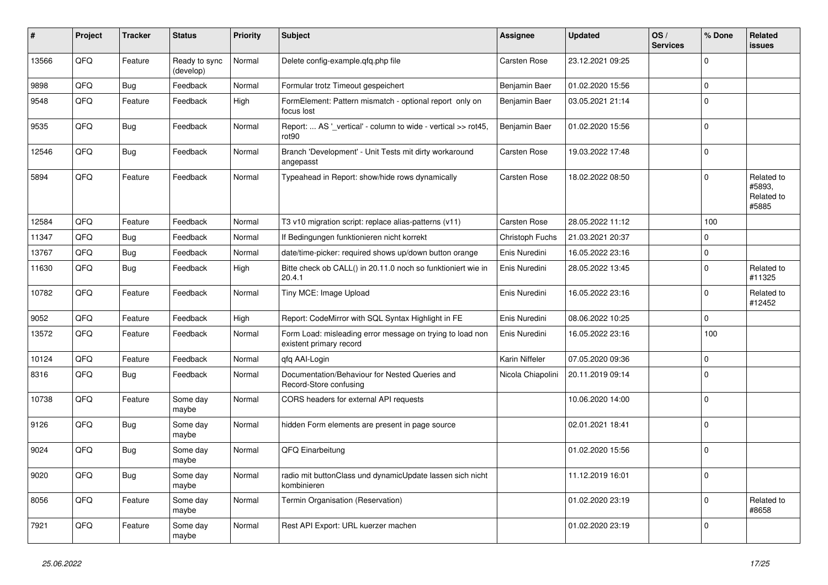| #     | Project | <b>Tracker</b> | <b>Status</b>              | <b>Priority</b> | <b>Subject</b>                                                                       | <b>Assignee</b>     | <b>Updated</b>   | OS/<br><b>Services</b> | % Done      | <b>Related</b><br>issues                    |
|-------|---------|----------------|----------------------------|-----------------|--------------------------------------------------------------------------------------|---------------------|------------------|------------------------|-------------|---------------------------------------------|
| 13566 | QFQ     | Feature        | Ready to sync<br>(develop) | Normal          | Delete config-example.qfq.php file                                                   | Carsten Rose        | 23.12.2021 09:25 |                        | $\mathbf 0$ |                                             |
| 9898  | QFQ     | <b>Bug</b>     | Feedback                   | Normal          | Formular trotz Timeout gespeichert                                                   | Benjamin Baer       | 01.02.2020 15:56 |                        | 0           |                                             |
| 9548  | QFQ     | Feature        | Feedback                   | High            | FormElement: Pattern mismatch - optional report only on<br>focus lost                | Benjamin Baer       | 03.05.2021 21:14 |                        | $\mathbf 0$ |                                             |
| 9535  | QFQ     | <b>Bug</b>     | Feedback                   | Normal          | Report:  AS '_vertical' - column to wide - vertical >> rot45,<br>rot <sub>90</sub>   | Benjamin Baer       | 01.02.2020 15:56 |                        | $\pmb{0}$   |                                             |
| 12546 | QFQ     | Bug            | Feedback                   | Normal          | Branch 'Development' - Unit Tests mit dirty workaround<br>angepasst                  | Carsten Rose        | 19.03.2022 17:48 |                        | $\Omega$    |                                             |
| 5894  | QFQ     | Feature        | Feedback                   | Normal          | Typeahead in Report: show/hide rows dynamically                                      | <b>Carsten Rose</b> | 18.02.2022 08:50 |                        | $\mathbf 0$ | Related to<br>#5893.<br>Related to<br>#5885 |
| 12584 | QFQ     | Feature        | Feedback                   | Normal          | T3 v10 migration script: replace alias-patterns (v11)                                | <b>Carsten Rose</b> | 28.05.2022 11:12 |                        | 100         |                                             |
| 11347 | QFQ     | <b>Bug</b>     | Feedback                   | Normal          | If Bedingungen funktionieren nicht korrekt                                           | Christoph Fuchs     | 21.03.2021 20:37 |                        | 0           |                                             |
| 13767 | QFQ     | <b>Bug</b>     | Feedback                   | Normal          | date/time-picker: required shows up/down button orange                               | Enis Nuredini       | 16.05.2022 23:16 |                        | $\pmb{0}$   |                                             |
| 11630 | QFQ     | <b>Bug</b>     | Feedback                   | High            | Bitte check ob CALL() in 20.11.0 noch so funktioniert wie in<br>20.4.1               | Enis Nuredini       | 28.05.2022 13:45 |                        | $\mathbf 0$ | Related to<br>#11325                        |
| 10782 | QFQ     | Feature        | Feedback                   | Normal          | Tiny MCE: Image Upload                                                               | Enis Nuredini       | 16.05.2022 23:16 |                        | $\mathbf 0$ | Related to<br>#12452                        |
| 9052  | QFQ     | Feature        | Feedback                   | High            | Report: CodeMirror with SQL Syntax Highlight in FE                                   | Enis Nuredini       | 08.06.2022 10:25 |                        | $\pmb{0}$   |                                             |
| 13572 | QFQ     | Feature        | Feedback                   | Normal          | Form Load: misleading error message on trying to load non<br>existent primary record | Enis Nuredini       | 16.05.2022 23:16 |                        | 100         |                                             |
| 10124 | QFQ     | Feature        | Feedback                   | Normal          | qfq AAI-Login                                                                        | Karin Niffeler      | 07.05.2020 09:36 |                        | $\pmb{0}$   |                                             |
| 8316  | QFQ     | <b>Bug</b>     | Feedback                   | Normal          | Documentation/Behaviour for Nested Queries and<br>Record-Store confusing             | Nicola Chiapolini   | 20.11.2019 09:14 |                        | $\mathbf 0$ |                                             |
| 10738 | QFQ     | Feature        | Some day<br>maybe          | Normal          | CORS headers for external API requests                                               |                     | 10.06.2020 14:00 |                        | $\Omega$    |                                             |
| 9126  | QFQ     | <b>Bug</b>     | Some day<br>maybe          | Normal          | hidden Form elements are present in page source                                      |                     | 02.01.2021 18:41 |                        | $\mathbf 0$ |                                             |
| 9024  | QFQ     | Bug            | Some day<br>maybe          | Normal          | QFQ Einarbeitung                                                                     |                     | 01.02.2020 15:56 |                        | $\mathbf 0$ |                                             |
| 9020  | QFQ     | Bug            | Some day<br>maybe          | Normal          | radio mit buttonClass und dynamicUpdate lassen sich nicht<br>kombinieren             |                     | 11.12.2019 16:01 |                        | $\mathbf 0$ |                                             |
| 8056  | QFQ     | Feature        | Some day<br>maybe          | Normal          | Termin Organisation (Reservation)                                                    |                     | 01.02.2020 23:19 |                        | $\mathbf 0$ | Related to<br>#8658                         |
| 7921  | QFQ     | Feature        | Some day<br>maybe          | Normal          | Rest API Export: URL kuerzer machen                                                  |                     | 01.02.2020 23:19 |                        | $\mathbf 0$ |                                             |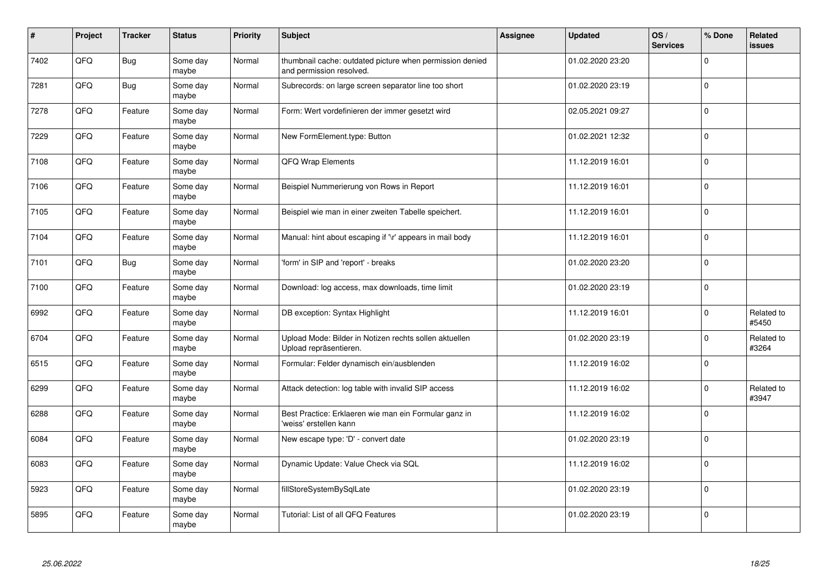| $\sharp$ | Project | <b>Tracker</b> | <b>Status</b>     | Priority | <b>Subject</b>                                                                       | <b>Assignee</b> | <b>Updated</b>   | OS/<br><b>Services</b> | % Done      | Related<br><b>issues</b> |
|----------|---------|----------------|-------------------|----------|--------------------------------------------------------------------------------------|-----------------|------------------|------------------------|-------------|--------------------------|
| 7402     | QFQ     | Bug            | Some day<br>maybe | Normal   | thumbnail cache: outdated picture when permission denied<br>and permission resolved. |                 | 01.02.2020 23:20 |                        | $\mathbf 0$ |                          |
| 7281     | QFQ     | <b>Bug</b>     | Some day<br>maybe | Normal   | Subrecords: on large screen separator line too short                                 |                 | 01.02.2020 23:19 |                        | $\mathbf 0$ |                          |
| 7278     | QFQ     | Feature        | Some day<br>maybe | Normal   | Form: Wert vordefinieren der immer gesetzt wird                                      |                 | 02.05.2021 09:27 |                        | $\pmb{0}$   |                          |
| 7229     | QFQ     | Feature        | Some day<br>maybe | Normal   | New FormElement.type: Button                                                         |                 | 01.02.2021 12:32 |                        | $\mathbf 0$ |                          |
| 7108     | QFQ     | Feature        | Some day<br>maybe | Normal   | QFQ Wrap Elements                                                                    |                 | 11.12.2019 16:01 |                        | $\mathbf 0$ |                          |
| 7106     | QFQ     | Feature        | Some day<br>maybe | Normal   | Beispiel Nummerierung von Rows in Report                                             |                 | 11.12.2019 16:01 |                        | $\pmb{0}$   |                          |
| 7105     | QFQ     | Feature        | Some day<br>maybe | Normal   | Beispiel wie man in einer zweiten Tabelle speichert.                                 |                 | 11.12.2019 16:01 |                        | $\mathbf 0$ |                          |
| 7104     | QFQ     | Feature        | Some day<br>maybe | Normal   | Manual: hint about escaping if '\r' appears in mail body                             |                 | 11.12.2019 16:01 |                        | $\mathbf 0$ |                          |
| 7101     | QFQ     | <b>Bug</b>     | Some day<br>maybe | Normal   | 'form' in SIP and 'report' - breaks                                                  |                 | 01.02.2020 23:20 |                        | $\pmb{0}$   |                          |
| 7100     | QFQ     | Feature        | Some day<br>maybe | Normal   | Download: log access, max downloads, time limit                                      |                 | 01.02.2020 23:19 |                        | $\mathbf 0$ |                          |
| 6992     | QFQ     | Feature        | Some day<br>maybe | Normal   | DB exception: Syntax Highlight                                                       |                 | 11.12.2019 16:01 |                        | $\mathbf 0$ | Related to<br>#5450      |
| 6704     | QFQ     | Feature        | Some day<br>maybe | Normal   | Upload Mode: Bilder in Notizen rechts sollen aktuellen<br>Upload repräsentieren.     |                 | 01.02.2020 23:19 |                        | $\pmb{0}$   | Related to<br>#3264      |
| 6515     | QFQ     | Feature        | Some day<br>maybe | Normal   | Formular: Felder dynamisch ein/ausblenden                                            |                 | 11.12.2019 16:02 |                        | $\mathbf 0$ |                          |
| 6299     | QFQ     | Feature        | Some day<br>maybe | Normal   | Attack detection: log table with invalid SIP access                                  |                 | 11.12.2019 16:02 |                        | $\mathbf 0$ | Related to<br>#3947      |
| 6288     | QFQ     | Feature        | Some day<br>maybe | Normal   | Best Practice: Erklaeren wie man ein Formular ganz in<br>'weiss' erstellen kann      |                 | 11.12.2019 16:02 |                        | $\Omega$    |                          |
| 6084     | QFQ     | Feature        | Some day<br>maybe | Normal   | New escape type: 'D' - convert date                                                  |                 | 01.02.2020 23:19 |                        | $\mathbf 0$ |                          |
| 6083     | QFQ     | Feature        | Some day<br>maybe | Normal   | Dynamic Update: Value Check via SQL                                                  |                 | 11.12.2019 16:02 |                        | $\mathbf 0$ |                          |
| 5923     | QFQ     | Feature        | Some day<br>maybe | Normal   | fillStoreSystemBySqlLate                                                             |                 | 01.02.2020 23:19 |                        | $\pmb{0}$   |                          |
| 5895     | QFQ     | Feature        | Some day<br>maybe | Normal   | Tutorial: List of all QFQ Features                                                   |                 | 01.02.2020 23:19 |                        | $\Omega$    |                          |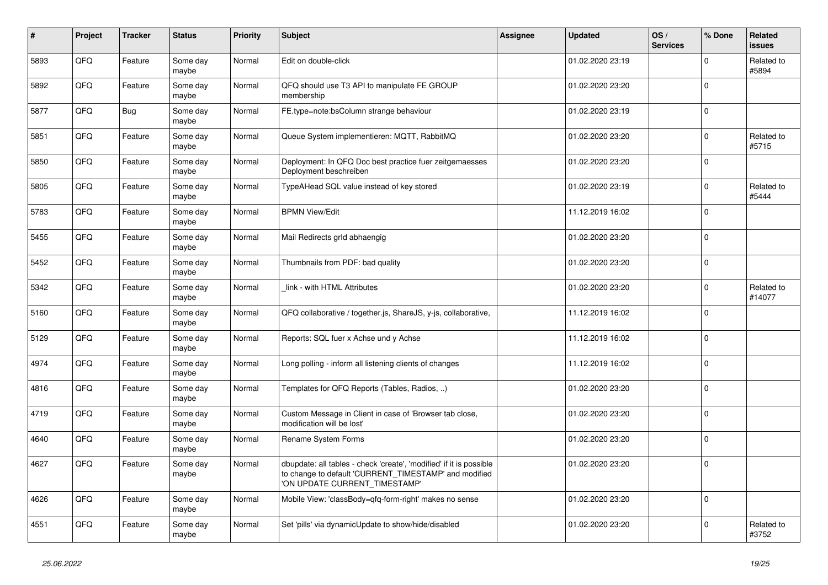| #    | Project | <b>Tracker</b> | <b>Status</b>     | <b>Priority</b> | Subject                                                                                                                                                       | Assignee | <b>Updated</b>   | OS/<br><b>Services</b> | % Done      | Related<br>issues    |
|------|---------|----------------|-------------------|-----------------|---------------------------------------------------------------------------------------------------------------------------------------------------------------|----------|------------------|------------------------|-------------|----------------------|
| 5893 | QFQ     | Feature        | Some day<br>maybe | Normal          | Edit on double-click                                                                                                                                          |          | 01.02.2020 23:19 |                        | 0           | Related to<br>#5894  |
| 5892 | QFQ     | Feature        | Some day<br>maybe | Normal          | QFQ should use T3 API to manipulate FE GROUP<br>membership                                                                                                    |          | 01.02.2020 23:20 |                        | $\Omega$    |                      |
| 5877 | QFQ     | <b>Bug</b>     | Some day<br>maybe | Normal          | FE.type=note:bsColumn strange behaviour                                                                                                                       |          | 01.02.2020 23:19 |                        | $\Omega$    |                      |
| 5851 | QFQ     | Feature        | Some day<br>maybe | Normal          | Queue System implementieren: MQTT, RabbitMQ                                                                                                                   |          | 01.02.2020 23:20 |                        | $\Omega$    | Related to<br>#5715  |
| 5850 | QFQ     | Feature        | Some day<br>maybe | Normal          | Deployment: In QFQ Doc best practice fuer zeitgemaesses<br>Deployment beschreiben                                                                             |          | 01.02.2020 23:20 |                        | $\pmb{0}$   |                      |
| 5805 | QFQ     | Feature        | Some day<br>maybe | Normal          | TypeAHead SQL value instead of key stored                                                                                                                     |          | 01.02.2020 23:19 |                        | $\Omega$    | Related to<br>#5444  |
| 5783 | QFQ     | Feature        | Some day<br>maybe | Normal          | <b>BPMN View/Edit</b>                                                                                                                                         |          | 11.12.2019 16:02 |                        | $\Omega$    |                      |
| 5455 | QFQ     | Feature        | Some day<br>maybe | Normal          | Mail Redirects grld abhaengig                                                                                                                                 |          | 01.02.2020 23:20 |                        | 0           |                      |
| 5452 | QFQ     | Feature        | Some day<br>maybe | Normal          | Thumbnails from PDF: bad quality                                                                                                                              |          | 01.02.2020 23:20 |                        | $\Omega$    |                      |
| 5342 | QFQ     | Feature        | Some day<br>maybe | Normal          | link - with HTML Attributes                                                                                                                                   |          | 01.02.2020 23:20 |                        | $\Omega$    | Related to<br>#14077 |
| 5160 | QFQ     | Feature        | Some dav<br>maybe | Normal          | QFQ collaborative / together.js, ShareJS, y-js, collaborative,                                                                                                |          | 11.12.2019 16:02 |                        | $\mathbf 0$ |                      |
| 5129 | QFQ     | Feature        | Some day<br>maybe | Normal          | Reports: SQL fuer x Achse und y Achse                                                                                                                         |          | 11.12.2019 16:02 |                        | $\Omega$    |                      |
| 4974 | QFQ     | Feature        | Some day<br>maybe | Normal          | Long polling - inform all listening clients of changes                                                                                                        |          | 11.12.2019 16:02 |                        | $\Omega$    |                      |
| 4816 | QFQ     | Feature        | Some day<br>maybe | Normal          | Templates for QFQ Reports (Tables, Radios, )                                                                                                                  |          | 01.02.2020 23:20 |                        | $\mathbf 0$ |                      |
| 4719 | QFQ     | Feature        | Some day<br>maybe | Normal          | Custom Message in Client in case of 'Browser tab close,<br>modification will be lost'                                                                         |          | 01.02.2020 23:20 |                        | $\Omega$    |                      |
| 4640 | QFQ     | Feature        | Some day<br>maybe | Normal          | Rename System Forms                                                                                                                                           |          | 01.02.2020 23:20 |                        | $\mathbf 0$ |                      |
| 4627 | QFQ     | Feature        | Some day<br>maybe | Normal          | dbupdate: all tables - check 'create', 'modified' if it is possible<br>to change to default 'CURRENT_TIMESTAMP' and modified<br>'ON UPDATE CURRENT TIMESTAMP' |          | 01.02.2020 23:20 |                        | $\Omega$    |                      |
| 4626 | QFQ     | Feature        | Some day<br>maybe | Normal          | Mobile View: 'classBody=qfq-form-right' makes no sense                                                                                                        |          | 01.02.2020 23:20 |                        | $\Omega$    |                      |
| 4551 | QFQ     | Feature        | Some day<br>maybe | Normal          | Set 'pills' via dynamicUpdate to show/hide/disabled                                                                                                           |          | 01.02.2020 23:20 |                        | $\Omega$    | Related to<br>#3752  |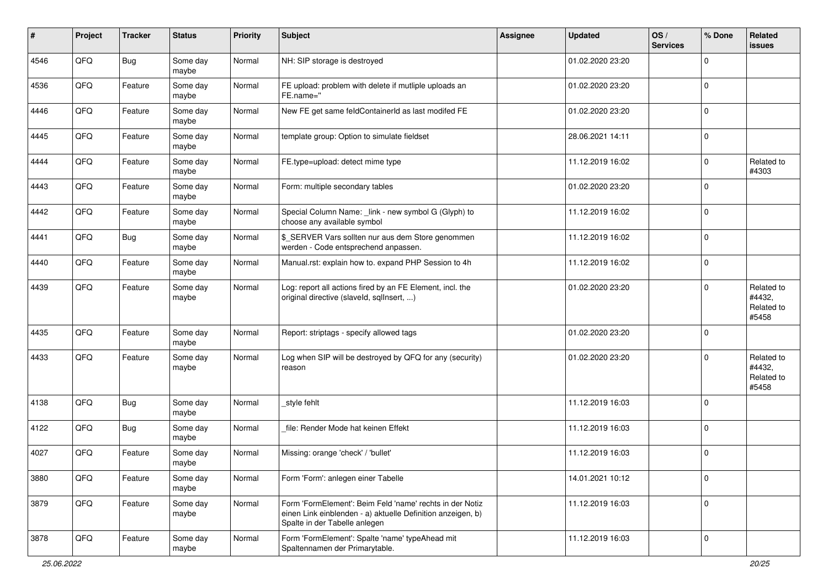| #    | Project | <b>Tracker</b> | <b>Status</b>     | Priority | Subject                                                                                                                                                  | Assignee | <b>Updated</b>   | OS/<br><b>Services</b> | % Done      | Related<br>issues                           |
|------|---------|----------------|-------------------|----------|----------------------------------------------------------------------------------------------------------------------------------------------------------|----------|------------------|------------------------|-------------|---------------------------------------------|
| 4546 | QFQ     | <b>Bug</b>     | Some day<br>maybe | Normal   | NH: SIP storage is destroyed                                                                                                                             |          | 01.02.2020 23:20 |                        | $\mathbf 0$ |                                             |
| 4536 | QFQ     | Feature        | Some day<br>maybe | Normal   | FE upload: problem with delete if mutliple uploads an<br>FE.name="                                                                                       |          | 01.02.2020 23:20 |                        | $\mathbf 0$ |                                             |
| 4446 | QFQ     | Feature        | Some day<br>maybe | Normal   | New FE get same feldContainerId as last modifed FE                                                                                                       |          | 01.02.2020 23:20 |                        | $\mathbf 0$ |                                             |
| 4445 | QFQ     | Feature        | Some day<br>maybe | Normal   | template group: Option to simulate fieldset                                                                                                              |          | 28.06.2021 14:11 |                        | 0           |                                             |
| 4444 | QFQ     | Feature        | Some day<br>maybe | Normal   | FE.type=upload: detect mime type                                                                                                                         |          | 11.12.2019 16:02 |                        | 0           | Related to<br>#4303                         |
| 4443 | QFQ     | Feature        | Some day<br>maybe | Normal   | Form: multiple secondary tables                                                                                                                          |          | 01.02.2020 23:20 |                        | 0           |                                             |
| 4442 | QFQ     | Feature        | Some day<br>maybe | Normal   | Special Column Name: _link - new symbol G (Glyph) to<br>choose any available symbol                                                                      |          | 11.12.2019 16:02 |                        | $\mathbf 0$ |                                             |
| 4441 | QFQ     | <b>Bug</b>     | Some day<br>maybe | Normal   | \$ SERVER Vars sollten nur aus dem Store genommen<br>werden - Code entsprechend anpassen.                                                                |          | 11.12.2019 16:02 |                        | 0           |                                             |
| 4440 | QFQ     | Feature        | Some day<br>maybe | Normal   | Manual.rst: explain how to. expand PHP Session to 4h                                                                                                     |          | 11.12.2019 16:02 |                        | $\mathbf 0$ |                                             |
| 4439 | QFQ     | Feature        | Some day<br>maybe | Normal   | Log: report all actions fired by an FE Element, incl. the<br>original directive (slaveld, sqllnsert, )                                                   |          | 01.02.2020 23:20 |                        | $\mathbf 0$ | Related to<br>#4432,<br>Related to<br>#5458 |
| 4435 | QFQ     | Feature        | Some day<br>maybe | Normal   | Report: striptags - specify allowed tags                                                                                                                 |          | 01.02.2020 23:20 |                        | $\Omega$    |                                             |
| 4433 | QFQ     | Feature        | Some day<br>maybe | Normal   | Log when SIP will be destroyed by QFQ for any (security)<br>reason                                                                                       |          | 01.02.2020 23:20 |                        | $\mathbf 0$ | Related to<br>#4432,<br>Related to<br>#5458 |
| 4138 | QFQ     | Bug            | Some day<br>maybe | Normal   | _style fehlt                                                                                                                                             |          | 11.12.2019 16:03 |                        | 0           |                                             |
| 4122 | QFQ     | <b>Bug</b>     | Some day<br>maybe | Normal   | file: Render Mode hat keinen Effekt                                                                                                                      |          | 11.12.2019 16:03 |                        | $\mathbf 0$ |                                             |
| 4027 | QFQ     | Feature        | Some day<br>maybe | Normal   | Missing: orange 'check' / 'bullet'                                                                                                                       |          | 11.12.2019 16:03 |                        | $\Omega$    |                                             |
| 3880 | QFG     | Feature        | Some day<br>maybe | Normal   | Form 'Form': anlegen einer Tabelle                                                                                                                       |          | 14.01.2021 10:12 |                        | 0           |                                             |
| 3879 | QFG     | Feature        | Some day<br>maybe | Normal   | Form 'FormElement': Beim Feld 'name' rechts in der Notiz<br>einen Link einblenden - a) aktuelle Definition anzeigen, b)<br>Spalte in der Tabelle anlegen |          | 11.12.2019 16:03 |                        | $\pmb{0}$   |                                             |
| 3878 | QFQ     | Feature        | Some day<br>maybe | Normal   | Form 'FormElement': Spalte 'name' typeAhead mit<br>Spaltennamen der Primarytable.                                                                        |          | 11.12.2019 16:03 |                        | 0           |                                             |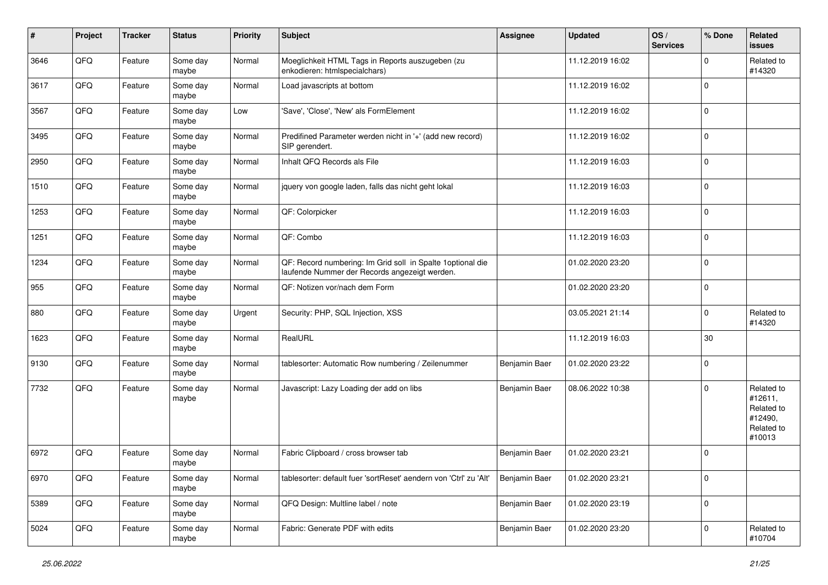| $\vert$ # | Project | <b>Tracker</b> | <b>Status</b>     | <b>Priority</b> | <b>Subject</b>                                                                                               | Assignee      | <b>Updated</b>   | OS/<br><b>Services</b> | % Done      | <b>Related</b><br>issues                                               |
|-----------|---------|----------------|-------------------|-----------------|--------------------------------------------------------------------------------------------------------------|---------------|------------------|------------------------|-------------|------------------------------------------------------------------------|
| 3646      | QFQ     | Feature        | Some day<br>maybe | Normal          | Moeglichkeit HTML Tags in Reports auszugeben (zu<br>enkodieren: htmlspecialchars)                            |               | 11.12.2019 16:02 |                        | $\mathbf 0$ | Related to<br>#14320                                                   |
| 3617      | QFQ     | Feature        | Some day<br>maybe | Normal          | Load javascripts at bottom                                                                                   |               | 11.12.2019 16:02 |                        | $\mathbf 0$ |                                                                        |
| 3567      | QFQ     | Feature        | Some day<br>maybe | Low             | 'Save', 'Close', 'New' als FormElement                                                                       |               | 11.12.2019 16:02 |                        | $\Omega$    |                                                                        |
| 3495      | QFQ     | Feature        | Some day<br>maybe | Normal          | Predifined Parameter werden nicht in '+' (add new record)<br>SIP gerendert.                                  |               | 11.12.2019 16:02 |                        | 0           |                                                                        |
| 2950      | QFQ     | Feature        | Some day<br>maybe | Normal          | Inhalt QFQ Records als File                                                                                  |               | 11.12.2019 16:03 |                        | $\Omega$    |                                                                        |
| 1510      | QFQ     | Feature        | Some day<br>maybe | Normal          | jquery von google laden, falls das nicht geht lokal                                                          |               | 11.12.2019 16:03 |                        | $\mathbf 0$ |                                                                        |
| 1253      | QFQ     | Feature        | Some day<br>maybe | Normal          | QF: Colorpicker                                                                                              |               | 11.12.2019 16:03 |                        | $\mathbf 0$ |                                                                        |
| 1251      | QFQ     | Feature        | Some day<br>maybe | Normal          | QF: Combo                                                                                                    |               | 11.12.2019 16:03 |                        | 0           |                                                                        |
| 1234      | QFQ     | Feature        | Some day<br>maybe | Normal          | QF: Record numbering: Im Grid soll in Spalte 1 optional die<br>laufende Nummer der Records angezeigt werden. |               | 01.02.2020 23:20 |                        | 0           |                                                                        |
| 955       | QFQ     | Feature        | Some day<br>maybe | Normal          | QF: Notizen vor/nach dem Form                                                                                |               | 01.02.2020 23:20 |                        | 0           |                                                                        |
| 880       | QFQ     | Feature        | Some day<br>maybe | Urgent          | Security: PHP, SQL Injection, XSS                                                                            |               | 03.05.2021 21:14 |                        | 0           | Related to<br>#14320                                                   |
| 1623      | QFQ     | Feature        | Some day<br>maybe | Normal          | RealURL                                                                                                      |               | 11.12.2019 16:03 |                        | 30          |                                                                        |
| 9130      | QFQ     | Feature        | Some day<br>maybe | Normal          | tablesorter: Automatic Row numbering / Zeilenummer                                                           | Benjamin Baer | 01.02.2020 23:22 |                        | 0           |                                                                        |
| 7732      | QFQ     | Feature        | Some day<br>maybe | Normal          | Javascript: Lazy Loading der add on libs                                                                     | Benjamin Baer | 08.06.2022 10:38 |                        | $\Omega$    | Related to<br>#12611,<br>Related to<br>#12490,<br>Related to<br>#10013 |
| 6972      | QFQ     | Feature        | Some day<br>maybe | Normal          | Fabric Clipboard / cross browser tab                                                                         | Benjamin Baer | 01.02.2020 23:21 |                        | $\Omega$    |                                                                        |
| 6970      | QFQ     | Feature        | Some day<br>maybe | Normal          | tablesorter: default fuer 'sortReset' aendern von 'Ctrl' zu 'Alt'                                            | Benjamin Baer | 01.02.2020 23:21 |                        | 0           |                                                                        |
| 5389      | QFQ     | Feature        | Some day<br>maybe | Normal          | QFQ Design: Multline label / note                                                                            | Benjamin Baer | 01.02.2020 23:19 |                        | 0           |                                                                        |
| 5024      | QFQ     | Feature        | Some day<br>maybe | Normal          | Fabric: Generate PDF with edits                                                                              | Benjamin Baer | 01.02.2020 23:20 |                        | 0           | Related to<br>#10704                                                   |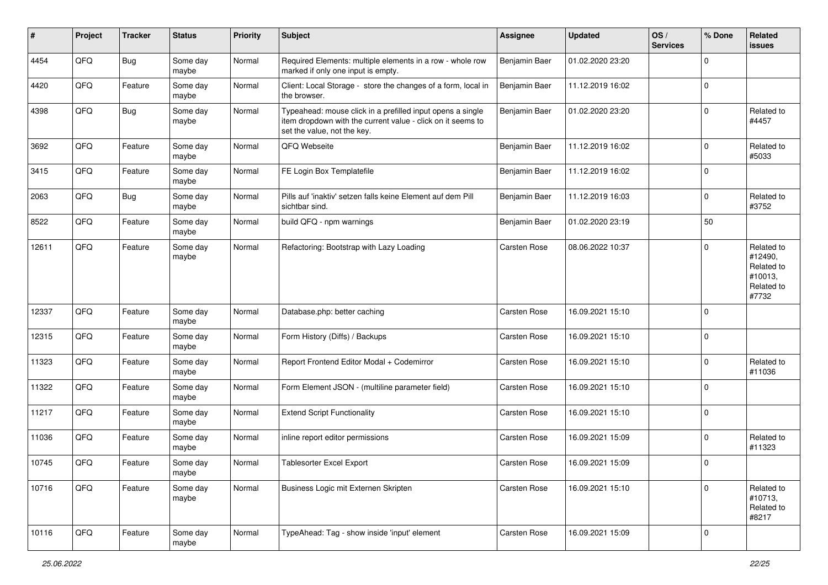| #     | Project | <b>Tracker</b> | <b>Status</b>     | <b>Priority</b> | <b>Subject</b>                                                                                                                                           | Assignee            | <b>Updated</b>   | OS/<br><b>Services</b> | % Done      | Related<br>issues                                                     |
|-------|---------|----------------|-------------------|-----------------|----------------------------------------------------------------------------------------------------------------------------------------------------------|---------------------|------------------|------------------------|-------------|-----------------------------------------------------------------------|
| 4454  | QFQ     | <b>Bug</b>     | Some day<br>maybe | Normal          | Required Elements: multiple elements in a row - whole row<br>marked if only one input is empty.                                                          | Benjamin Baer       | 01.02.2020 23:20 |                        | $\mathbf 0$ |                                                                       |
| 4420  | QFQ     | Feature        | Some day<br>maybe | Normal          | Client: Local Storage - store the changes of a form, local in<br>the browser.                                                                            | Benjamin Baer       | 11.12.2019 16:02 |                        | $\mathbf 0$ |                                                                       |
| 4398  | QFQ     | Bug            | Some day<br>maybe | Normal          | Typeahead: mouse click in a prefilled input opens a single<br>item dropdown with the current value - click on it seems to<br>set the value, not the key. | Benjamin Baer       | 01.02.2020 23:20 |                        | $\Omega$    | Related to<br>#4457                                                   |
| 3692  | QFQ     | Feature        | Some day<br>maybe | Normal          | QFQ Webseite                                                                                                                                             | Benjamin Baer       | 11.12.2019 16:02 |                        | 0           | Related to<br>#5033                                                   |
| 3415  | QFQ     | Feature        | Some day<br>maybe | Normal          | FE Login Box Templatefile                                                                                                                                | Benjamin Baer       | 11.12.2019 16:02 |                        | $\mathbf 0$ |                                                                       |
| 2063  | QFQ     | <b>Bug</b>     | Some day<br>maybe | Normal          | Pills auf 'inaktiv' setzen falls keine Element auf dem Pill<br>sichtbar sind.                                                                            | Benjamin Baer       | 11.12.2019 16:03 |                        | $\Omega$    | Related to<br>#3752                                                   |
| 8522  | QFQ     | Feature        | Some day<br>maybe | Normal          | build QFQ - npm warnings                                                                                                                                 | Benjamin Baer       | 01.02.2020 23:19 |                        | 50          |                                                                       |
| 12611 | QFQ     | Feature        | Some day<br>maybe | Normal          | Refactoring: Bootstrap with Lazy Loading                                                                                                                 | Carsten Rose        | 08.06.2022 10:37 |                        | $\Omega$    | Related to<br>#12490,<br>Related to<br>#10013,<br>Related to<br>#7732 |
| 12337 | QFQ     | Feature        | Some day<br>maybe | Normal          | Database.php: better caching                                                                                                                             | <b>Carsten Rose</b> | 16.09.2021 15:10 |                        | $\Omega$    |                                                                       |
| 12315 | QFQ     | Feature        | Some day<br>maybe | Normal          | Form History (Diffs) / Backups                                                                                                                           | <b>Carsten Rose</b> | 16.09.2021 15:10 |                        | 0           |                                                                       |
| 11323 | QFQ     | Feature        | Some day<br>maybe | Normal          | Report Frontend Editor Modal + Codemirror                                                                                                                | Carsten Rose        | 16.09.2021 15:10 |                        | $\Omega$    | Related to<br>#11036                                                  |
| 11322 | QFQ     | Feature        | Some day<br>maybe | Normal          | Form Element JSON - (multiline parameter field)                                                                                                          | Carsten Rose        | 16.09.2021 15:10 |                        | $\Omega$    |                                                                       |
| 11217 | QFQ     | Feature        | Some day<br>maybe | Normal          | <b>Extend Script Functionality</b>                                                                                                                       | Carsten Rose        | 16.09.2021 15:10 |                        | $\mathbf 0$ |                                                                       |
| 11036 | QFQ     | Feature        | Some day<br>maybe | Normal          | inline report editor permissions                                                                                                                         | Carsten Rose        | 16.09.2021 15:09 |                        | $\mathbf 0$ | Related to<br>#11323                                                  |
| 10745 | QFQ     | Feature        | Some day<br>maybe | Normal          | <b>Tablesorter Excel Export</b>                                                                                                                          | <b>Carsten Rose</b> | 16.09.2021 15:09 |                        | $\mathbf 0$ |                                                                       |
| 10716 | QFQ     | Feature        | Some day<br>maybe | Normal          | Business Logic mit Externen Skripten                                                                                                                     | Carsten Rose        | 16.09.2021 15:10 |                        | 0           | Related to<br>#10713,<br>Related to<br>#8217                          |
| 10116 | QFQ     | Feature        | Some day<br>maybe | Normal          | TypeAhead: Tag - show inside 'input' element                                                                                                             | Carsten Rose        | 16.09.2021 15:09 |                        | 0           |                                                                       |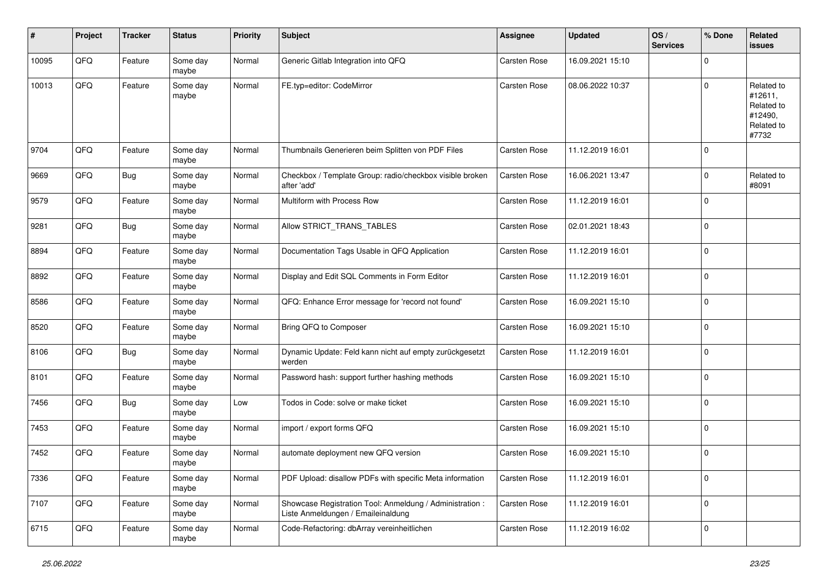| ∦     | Project | <b>Tracker</b> | <b>Status</b>     | <b>Priority</b> | <b>Subject</b>                                                                                 | <b>Assignee</b>     | <b>Updated</b>   | OS/<br><b>Services</b> | % Done      | Related<br>issues                                                     |
|-------|---------|----------------|-------------------|-----------------|------------------------------------------------------------------------------------------------|---------------------|------------------|------------------------|-------------|-----------------------------------------------------------------------|
| 10095 | QFQ     | Feature        | Some day<br>maybe | Normal          | Generic Gitlab Integration into QFQ                                                            | Carsten Rose        | 16.09.2021 15:10 |                        | $\Omega$    |                                                                       |
| 10013 | QFQ     | Feature        | Some day<br>maybe | Normal          | FE.typ=editor: CodeMirror                                                                      | <b>Carsten Rose</b> | 08.06.2022 10:37 |                        | $\Omega$    | Related to<br>#12611,<br>Related to<br>#12490,<br>Related to<br>#7732 |
| 9704  | QFQ     | Feature        | Some day<br>maybe | Normal          | Thumbnails Generieren beim Splitten von PDF Files                                              | <b>Carsten Rose</b> | 11.12.2019 16:01 |                        | $\Omega$    |                                                                       |
| 9669  | QFQ     | <b>Bug</b>     | Some day<br>maybe | Normal          | Checkbox / Template Group: radio/checkbox visible broken<br>after 'add'                        | Carsten Rose        | 16.06.2021 13:47 |                        | $\mathbf 0$ | Related to<br>#8091                                                   |
| 9579  | QFQ     | Feature        | Some day<br>maybe | Normal          | Multiform with Process Row                                                                     | Carsten Rose        | 11.12.2019 16:01 |                        | $\mathbf 0$ |                                                                       |
| 9281  | QFQ     | Bug            | Some day<br>maybe | Normal          | Allow STRICT_TRANS_TABLES                                                                      | Carsten Rose        | 02.01.2021 18:43 |                        | $\mathbf 0$ |                                                                       |
| 8894  | QFQ     | Feature        | Some day<br>maybe | Normal          | Documentation Tags Usable in QFQ Application                                                   | Carsten Rose        | 11.12.2019 16:01 |                        | $\mathbf 0$ |                                                                       |
| 8892  | QFQ     | Feature        | Some day<br>maybe | Normal          | Display and Edit SQL Comments in Form Editor                                                   | <b>Carsten Rose</b> | 11.12.2019 16:01 |                        | $\Omega$    |                                                                       |
| 8586  | QFQ     | Feature        | Some day<br>maybe | Normal          | QFQ: Enhance Error message for 'record not found'                                              | <b>Carsten Rose</b> | 16.09.2021 15:10 |                        | $\mathbf 0$ |                                                                       |
| 8520  | QFQ     | Feature        | Some day<br>maybe | Normal          | Bring QFQ to Composer                                                                          | <b>Carsten Rose</b> | 16.09.2021 15:10 |                        | $\Omega$    |                                                                       |
| 8106  | QFQ     | Bug            | Some day<br>maybe | Normal          | Dynamic Update: Feld kann nicht auf empty zurückgesetzt<br>werden                              | Carsten Rose        | 11.12.2019 16:01 |                        | $\Omega$    |                                                                       |
| 8101  | QFQ     | Feature        | Some day<br>maybe | Normal          | Password hash: support further hashing methods                                                 | Carsten Rose        | 16.09.2021 15:10 |                        | $\mathbf 0$ |                                                                       |
| 7456  | QFQ     | <b>Bug</b>     | Some day<br>maybe | Low             | Todos in Code: solve or make ticket                                                            | <b>Carsten Rose</b> | 16.09.2021 15:10 |                        | $\mathbf 0$ |                                                                       |
| 7453  | QFQ     | Feature        | Some day<br>maybe | Normal          | import / export forms QFQ                                                                      | Carsten Rose        | 16.09.2021 15:10 |                        | $\mathbf 0$ |                                                                       |
| 7452  | QFQ     | Feature        | Some day<br>maybe | Normal          | automate deployment new QFQ version                                                            | Carsten Rose        | 16.09.2021 15:10 |                        | $\mathbf 0$ |                                                                       |
| 7336  | QFG     | Feature        | Some day<br>maybe | Normal          | PDF Upload: disallow PDFs with specific Meta information                                       | Carsten Rose        | 11.12.2019 16:01 |                        | $\pmb{0}$   |                                                                       |
| 7107  | QFQ     | Feature        | Some day<br>maybe | Normal          | Showcase Registration Tool: Anmeldung / Administration :<br>Liste Anmeldungen / Emaileinaldung | Carsten Rose        | 11.12.2019 16:01 |                        | 0           |                                                                       |
| 6715  | QFG     | Feature        | Some day<br>maybe | Normal          | Code-Refactoring: dbArray vereinheitlichen                                                     | Carsten Rose        | 11.12.2019 16:02 |                        | 0           |                                                                       |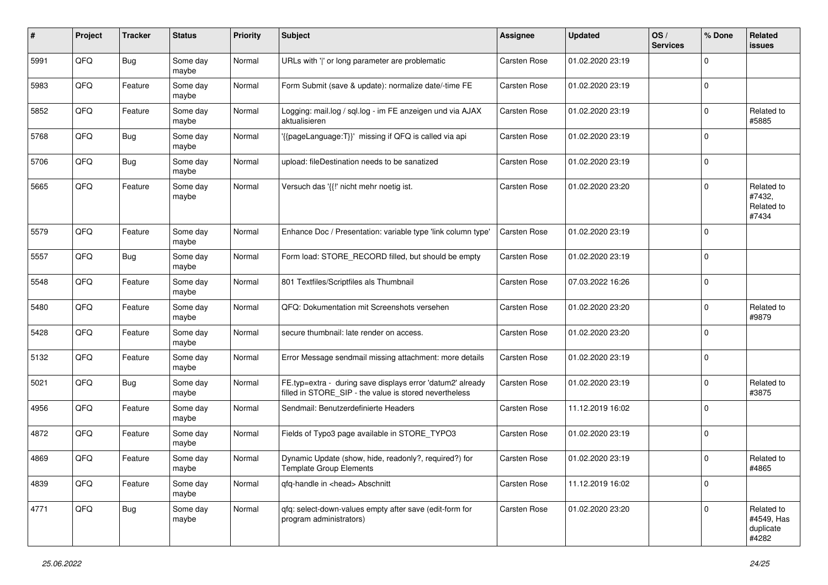| #    | Project | <b>Tracker</b> | <b>Status</b>     | <b>Priority</b> | <b>Subject</b>                                                                                                       | <b>Assignee</b>     | <b>Updated</b>   | OS/<br><b>Services</b> | % Done      | <b>Related</b><br>issues                       |
|------|---------|----------------|-------------------|-----------------|----------------------------------------------------------------------------------------------------------------------|---------------------|------------------|------------------------|-------------|------------------------------------------------|
| 5991 | QFQ     | <b>Bug</b>     | Some day<br>maybe | Normal          | URLs with ' ' or long parameter are problematic                                                                      | Carsten Rose        | 01.02.2020 23:19 |                        | $\Omega$    |                                                |
| 5983 | QFQ     | Feature        | Some day<br>maybe | Normal          | Form Submit (save & update): normalize date/-time FE                                                                 | <b>Carsten Rose</b> | 01.02.2020 23:19 |                        | $\Omega$    |                                                |
| 5852 | QFQ     | Feature        | Some day<br>maybe | Normal          | Logging: mail.log / sql.log - im FE anzeigen und via AJAX<br>aktualisieren                                           | <b>Carsten Rose</b> | 01.02.2020 23:19 |                        | $\mathbf 0$ | Related to<br>#5885                            |
| 5768 | QFQ     | <b>Bug</b>     | Some day<br>maybe | Normal          | '{{pageLanguage:T}}' missing if QFQ is called via api                                                                | <b>Carsten Rose</b> | 01.02.2020 23:19 |                        | $\Omega$    |                                                |
| 5706 | QFQ     | <b>Bug</b>     | Some day<br>maybe | Normal          | upload: fileDestination needs to be sanatized                                                                        | <b>Carsten Rose</b> | 01.02.2020 23:19 |                        | $\Omega$    |                                                |
| 5665 | QFQ     | Feature        | Some day<br>maybe | Normal          | Versuch das '{{!' nicht mehr noetig ist.                                                                             | Carsten Rose        | 01.02.2020 23:20 |                        | $\Omega$    | Related to<br>#7432,<br>Related to<br>#7434    |
| 5579 | QFQ     | Feature        | Some day<br>maybe | Normal          | Enhance Doc / Presentation: variable type 'link column type'                                                         | <b>Carsten Rose</b> | 01.02.2020 23:19 |                        | $\Omega$    |                                                |
| 5557 | QFQ     | Bug            | Some day<br>maybe | Normal          | Form load: STORE_RECORD filled, but should be empty                                                                  | Carsten Rose        | 01.02.2020 23:19 |                        | $\Omega$    |                                                |
| 5548 | QFQ     | Feature        | Some day<br>maybe | Normal          | 801 Textfiles/Scriptfiles als Thumbnail                                                                              | Carsten Rose        | 07.03.2022 16:26 |                        | $\Omega$    |                                                |
| 5480 | QFQ     | Feature        | Some day<br>maybe | Normal          | QFQ: Dokumentation mit Screenshots versehen                                                                          | Carsten Rose        | 01.02.2020 23:20 |                        | $\Omega$    | Related to<br>#9879                            |
| 5428 | QFQ     | Feature        | Some day<br>maybe | Normal          | secure thumbnail: late render on access.                                                                             | Carsten Rose        | 01.02.2020 23:20 |                        | $\Omega$    |                                                |
| 5132 | QFQ     | Feature        | Some day<br>maybe | Normal          | Error Message sendmail missing attachment: more details                                                              | <b>Carsten Rose</b> | 01.02.2020 23:19 |                        | $\Omega$    |                                                |
| 5021 | QFQ     | Bug            | Some day<br>maybe | Normal          | FE.typ=extra - during save displays error 'datum2' already<br>filled in STORE_SIP - the value is stored nevertheless | Carsten Rose        | 01.02.2020 23:19 |                        | $\mathbf 0$ | Related to<br>#3875                            |
| 4956 | QFQ     | Feature        | Some day<br>maybe | Normal          | Sendmail: Benutzerdefinierte Headers                                                                                 | Carsten Rose        | 11.12.2019 16:02 |                        | $\Omega$    |                                                |
| 4872 | QFQ     | Feature        | Some day<br>maybe | Normal          | Fields of Typo3 page available in STORE_TYPO3                                                                        | Carsten Rose        | 01.02.2020 23:19 |                        | $\mathbf 0$ |                                                |
| 4869 | QFQ     | Feature        | Some day<br>maybe | Normal          | Dynamic Update (show, hide, readonly?, required?) for<br><b>Template Group Elements</b>                              | Carsten Rose        | 01.02.2020 23:19 |                        | $\Omega$    | Related to<br>#4865                            |
| 4839 | QFQ     | Feature        | Some day<br>maybe | Normal          | gfg-handle in <head> Abschnitt</head>                                                                                | Carsten Rose        | 11.12.2019 16:02 |                        | 0           |                                                |
| 4771 | QFG     | <b>Bug</b>     | Some day<br>maybe | Normal          | qfq: select-down-values empty after save (edit-form for<br>program administrators)                                   | Carsten Rose        | 01.02.2020 23:20 |                        | 0           | Related to<br>#4549, Has<br>duplicate<br>#4282 |